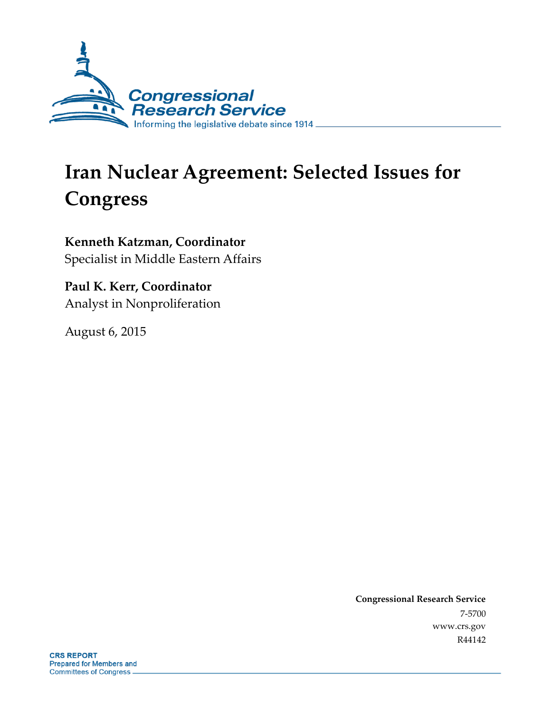

# **Iran Nuclear Agreement: Selected Issues for Congress**

**Kenneth Katzman, Coordinator** Specialist in Middle Eastern Affairs

**Paul K. Kerr, Coordinator** Analyst in Nonproliferation

August 6, 2015

**Congressional Research Service** 7-5700 [www.crs.gov](http://www.crs.gov/) R44142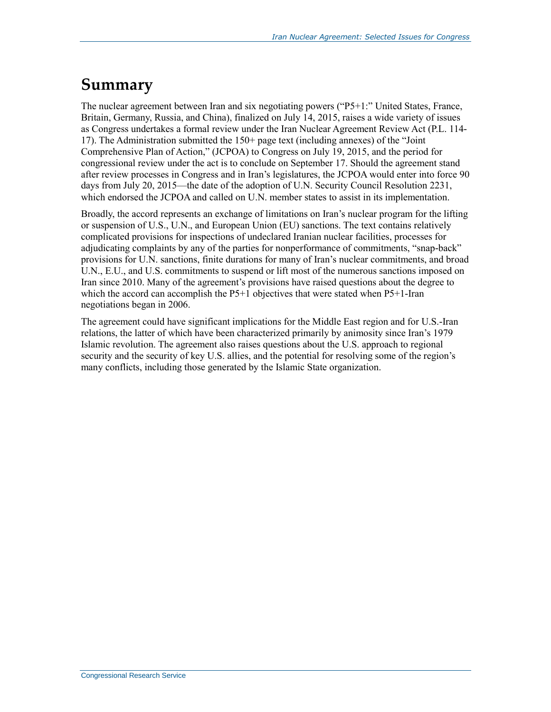# **Summary**

The nuclear agreement between Iran and six negotiating powers ("P5+1:" United States, France, Britain, Germany, Russia, and China), finalized on July 14, 2015, raises a wide variety of issues as Congress undertakes a formal review under the Iran Nuclear Agreement Review Act [\(P.L. 114-](http://www.congress.gov/cgi-lis/bdquery/R?d114:FLD002:@1(114+17)) [17\)](http://www.congress.gov/cgi-lis/bdquery/R?d114:FLD002:@1(114+17)). The Administration submitted the 150+ page text (including annexes) of the "Joint Comprehensive Plan of Action," (JCPOA) to Congress on July 19, 2015, and the period for congressional review under the act is to conclude on September 17. Should the agreement stand after review processes in Congress and in Iran's legislatures, the JCPOA would enter into force 90 days from July 20, 2015—the date of the adoption of U.N. Security Council Resolution 2231, which endorsed the JCPOA and called on U.N. member states to assist in its implementation.

Broadly, the accord represents an exchange of limitations on Iran's nuclear program for the lifting or suspension of U.S., U.N., and European Union (EU) sanctions. The text contains relatively complicated provisions for inspections of undeclared Iranian nuclear facilities, processes for adjudicating complaints by any of the parties for nonperformance of commitments, "snap-back" provisions for U.N. sanctions, finite durations for many of Iran's nuclear commitments, and broad U.N., E.U., and U.S. commitments to suspend or lift most of the numerous sanctions imposed on Iran since 2010. Many of the agreement's provisions have raised questions about the degree to which the accord can accomplish the P5+1 objectives that were stated when P5+1-Iran negotiations began in 2006.

The agreement could have significant implications for the Middle East region and for U.S.-Iran relations, the latter of which have been characterized primarily by animosity since Iran's 1979 Islamic revolution. The agreement also raises questions about the U.S. approach to regional security and the security of key U.S. allies, and the potential for resolving some of the region's many conflicts, including those generated by the Islamic State organization.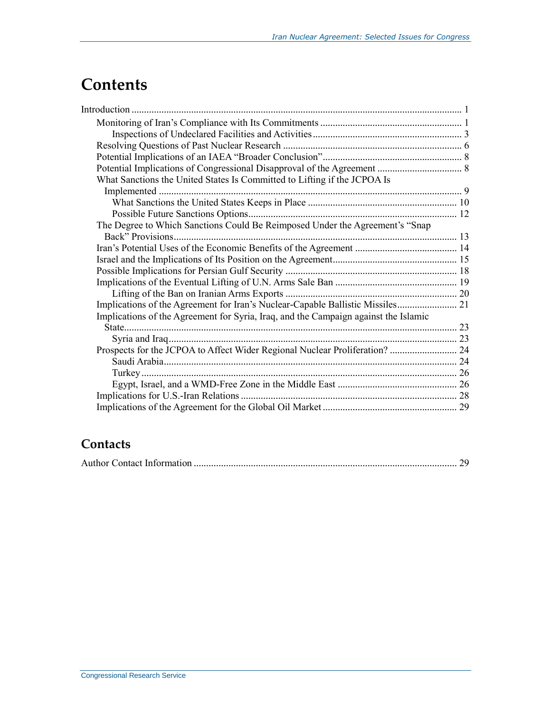## **Contents**

| What Sanctions the United States Is Committed to Lifting if the JCPOA Is            |  |
|-------------------------------------------------------------------------------------|--|
|                                                                                     |  |
|                                                                                     |  |
|                                                                                     |  |
| The Degree to Which Sanctions Could Be Reimposed Under the Agreement's "Snap        |  |
|                                                                                     |  |
|                                                                                     |  |
|                                                                                     |  |
|                                                                                     |  |
|                                                                                     |  |
|                                                                                     |  |
| Implications of the Agreement for Iran's Nuclear-Capable Ballistic Missiles 21      |  |
| Implications of the Agreement for Syria, Iraq, and the Campaign against the Islamic |  |
|                                                                                     |  |
|                                                                                     |  |
| Prospects for the JCPOA to Affect Wider Regional Nuclear Proliferation?  24         |  |
|                                                                                     |  |
|                                                                                     |  |
|                                                                                     |  |
|                                                                                     |  |
|                                                                                     |  |

### **Contacts**

|--|--|--|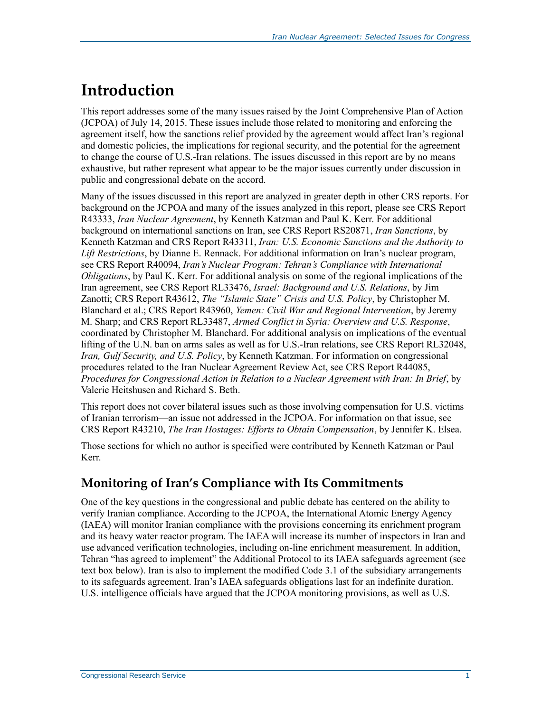# <span id="page-3-0"></span>**Introduction**

This report addresses some of the many issues raised by the Joint Comprehensive Plan of Action (JCPOA) of July 14, 2015. These issues include those related to monitoring and enforcing the agreement itself, how the sanctions relief provided by the agreement would affect Iran's regional and domestic policies, the implications for regional security, and the potential for the agreement to change the course of U.S.-Iran relations. The issues discussed in this report are by no means exhaustive, but rather represent what appear to be the major issues currently under discussion in public and congressional debate on the accord.

Many of the issues discussed in this report are analyzed in greater depth in other CRS reports. For background on the JCPOA and many of the issues analyzed in this report, please see CRS Report R43333, *[Iran Nuclear Agreement](http://www.crs.gov/pages/Reports.aspx?PRODCODE=R43333)*, by Kenneth Katzman and Paul K. Kerr. For additional background on international sanctions on Iran, see CRS Report RS20871, *[Iran Sanctions](http://www.crs.gov/pages/Reports.aspx?PRODCODE=RS20871)*, by Kenneth Katzman and CRS Report R43311, *[Iran: U.S. Economic Sanctions and the Authority to](http://www.crs.gov/pages/Reports.aspx?PRODCODE=R43311)  [Lift Restrictions](http://www.crs.gov/pages/Reports.aspx?PRODCODE=R43311)*, by Dianne E. Rennack. For additional information on Iran's nuclear program, see CRS Report R40094, *[Iran's Nuclear Program: Tehran's Compliance with International](http://www.crs.gov/pages/Reports.aspx?PRODCODE=R40094)  [Obligations](http://www.crs.gov/pages/Reports.aspx?PRODCODE=R40094)*, by Paul K. Kerr. For additional analysis on some of the regional implications of the Iran agreement, see CRS Report RL33476, *[Israel: Background and U.S. Relations](http://www.crs.gov/pages/Reports.aspx?PRODCODE=RL33476)*, by Jim Zanotti; CRS Report R43612, *[The "Islamic State" Crisis and U.S. Policy](Reports/R43612)*, by Christopher M. Blanchard et al.; CRS Report R43960, *[Yemen: Civil War and Regional Intervention](Reports/R43960)*, by Jeremy M. Sharp; and CRS Report RL33487, *[Armed Conflict in Syria: Overview and U.S. Response](http://www.crs.gov/pages/Reports.aspx?PRODCODE=RL33487)*, coordinated by Christopher M. Blanchard. For additional analysis on implications of the eventual lifting of the U.N. ban on arms sales as well as for U.S.-Iran relations, see CRS Report RL32048, *[Iran, Gulf Security, and U.S. Policy](http://www.crs.gov/pages/Reports.aspx?PRODCODE=RL32048)*, by Kenneth Katzman. For information on congressional procedures related to the Iran Nuclear Agreement Review Act, see CRS Report R44085, *[Procedures for Congressional Action in Relation to a Nuclear Agreement with Iran: In Brief](http://www.crs.gov/pages/Reports.aspx?PRODCODE=R44085)*, by Valerie Heitshusen and Richard S. Beth.

This report does not cover bilateral issues such as those involving compensation for U.S. victims of Iranian terrorism—an issue not addressed in the JCPOA. For information on that issue, see CRS Report R43210, *[The Iran Hostages: Efforts to Obtain Compensation](http://www.crs.gov/pages/Reports.aspx?PRODCODE=R43210)*, by Jennifer K. Elsea.

Those sections for which no author is specified were contributed by Kenneth Katzman or Paul Kerr.

### <span id="page-3-1"></span>**Monitoring of Iran's Compliance with Its Commitments**

One of the key questions in the congressional and public debate has centered on the ability to verify Iranian compliance. According to the JCPOA, the International Atomic Energy Agency (IAEA) will monitor Iranian compliance with the provisions concerning its enrichment program and its heavy water reactor program. The IAEA will increase its number of inspectors in Iran and use advanced verification technologies, including on-line enrichment measurement. In addition, Tehran "has agreed to implement" the Additional Protocol to its IAEA safeguards agreement (see text box below). Iran is also to implement the modified Code 3.1 of the subsidiary arrangements to its safeguards agreement. Iran's IAEA safeguards obligations last for an indefinite duration. U.S. intelligence officials have argued that the JCPOA monitoring provisions, as well as U.S.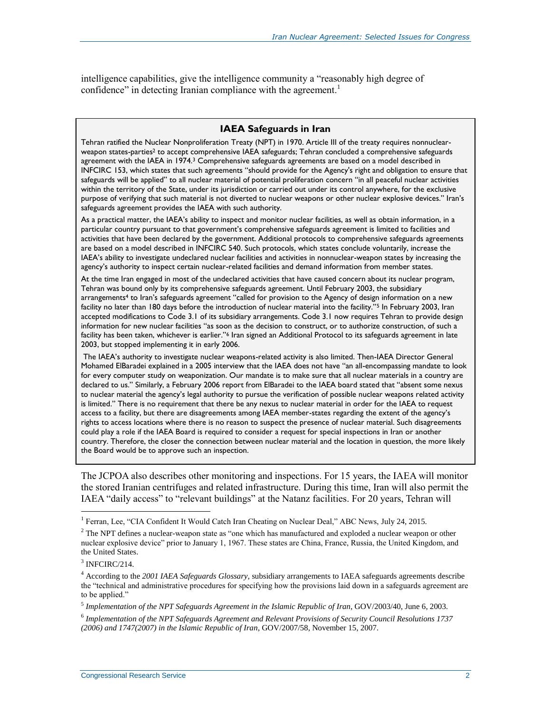intelligence capabilities, give the intelligence community a "reasonably high degree of confidence" in detecting Iranian compliance with the agreement.<sup>1</sup>

#### **IAEA Safeguards in Iran**

Tehran ratified the Nuclear Nonproliferation Treaty (NPT) in 1970. Article III of the treaty requires nonnuclearweapon states-parties<sup>2</sup> to accept comprehensive IAEA safeguards; Tehran concluded a comprehensive safeguards agreement with the IAEA in 1974.<sup>3</sup> Comprehensive safeguards agreements are based on a model described in INFCIRC 153, which states that such agreements "should provide for the Agency's right and obligation to ensure that safeguards will be applied" to all nuclear material of potential proliferation concern "in all peaceful nuclear activities within the territory of the State, under its jurisdiction or carried out under its control anywhere, for the exclusive purpose of verifying that such material is not diverted to nuclear weapons or other nuclear explosive devices." Iran's safeguards agreement provides the IAEA with such authority.

As a practical matter, the IAEA's ability to inspect and monitor nuclear facilities, as well as obtain information, in a particular country pursuant to that government's comprehensive safeguards agreement is limited to facilities and activities that have been declared by the government. Additional protocols to comprehensive safeguards agreements are based on a model described in INFCIRC 540. Such protocols, which states conclude voluntarily, increase the IAEA's ability to investigate undeclared nuclear facilities and activities in nonnuclear-weapon states by increasing the agency's authority to inspect certain nuclear-related facilities and demand information from member states.

At the time Iran engaged in most of the undeclared activities that have caused concern about its nuclear program, Tehran was bound only by its comprehensive safeguards agreement. Until February 2003, the subsidiary arrangements<sup>4</sup> to Iran's safeguards agreement "called for provision to the Agency of design information on a new facility no later than 180 days before the introduction of nuclear material into the facility."<sup>5</sup> In February 2003, Iran accepted modifications to Code 3.1 of its subsidiary arrangements. Code 3.1 now requires Tehran to provide design information for new nuclear facilities "as soon as the decision to construct, or to authorize construction, of such a facility has been taken, whichever is earlier."<sup>6</sup> Iran signed an Additional Protocol to its safeguards agreement in late 2003, but stopped implementing it in early 2006.

The IAEA's authority to investigate nuclear weapons-related activity is also limited. Then-IAEA Director General Mohamed ElBaradei explained in a 2005 interview that the IAEA does not have "an all-encompassing mandate to look for every computer study on weaponization. Our mandate is to make sure that all nuclear materials in a country are declared to us." Similarly, a February 2006 report from ElBaradei to the IAEA board stated that "absent some nexus to nuclear material the agency's legal authority to pursue the verification of possible nuclear weapons related activity is limited." There is no requirement that there be any nexus to nuclear material in order for the IAEA to request access to a facility, but there are disagreements among IAEA member-states regarding the extent of the agency's rights to access locations where there is no reason to suspect the presence of nuclear material. Such disagreements could play a role if the IAEA Board is required to consider a request for special inspections in Iran or another country. Therefore, the closer the connection between nuclear material and the location in question, the more likely the Board would be to approve such an inspection.

The JCPOA also describes other monitoring and inspections. For 15 years, the IAEA will monitor the stored Iranian centrifuges and related infrastructure. During this time, Iran will also permit the IAEA "daily access" to "relevant buildings" at the Natanz facilities. For 20 years, Tehran will

<sup>&</sup>lt;sup>1</sup> Ferran, Lee, "CIA Confident It Would Catch Iran Cheating on Nuclear Deal," ABC News, July 24, 2015.

<sup>&</sup>lt;sup>2</sup> The NPT defines a nuclear-weapon state as "one which has manufactured and exploded a nuclear weapon or other nuclear explosive device" prior to January 1, 1967. These states are China, France, Russia, the United Kingdom, and the United States.

<sup>&</sup>lt;sup>3</sup> INFCIRC/214.

<sup>4</sup> According to the *2001 IAEA Safeguards Glossary*, subsidiary arrangements to IAEA safeguards agreements describe the "technical and administrative procedures for specifying how the provisions laid down in a safeguards agreement are to be applied."

<sup>5</sup> *Implementation of the NPT Safeguards Agreement in the Islamic Republic of Iran*, GOV/2003/40, June 6, 2003.

<sup>6</sup> *Implementation of the NPT Safeguards Agreement and Relevant Provisions of Security Council Resolutions 1737 (2006) and 1747(2007) in the Islamic Republic of Iran*, GOV/2007/58, November 15, 2007.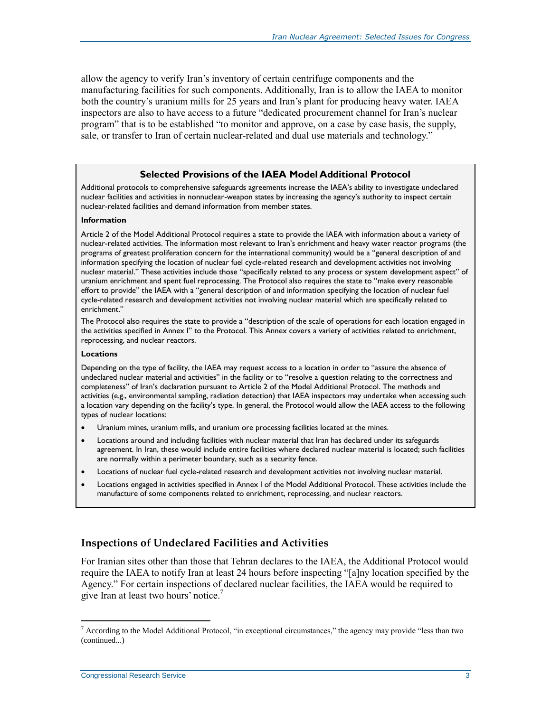allow the agency to verify Iran's inventory of certain centrifuge components and the manufacturing facilities for such components. Additionally, Iran is to allow the IAEA to monitor both the country's uranium mills for 25 years and Iran's plant for producing heavy water. IAEA inspectors are also to have access to a future "dedicated procurement channel for Iran's nuclear program" that is to be established "to monitor and approve, on a case by case basis, the supply, sale, or transfer to Iran of certain nuclear-related and dual use materials and technology."

#### **Selected Provisions of the IAEA Model Additional Protocol**

Additional protocols to comprehensive safeguards agreements increase the IAEA's ability to investigate undeclared nuclear facilities and activities in nonnuclear-weapon states by increasing the agency's authority to inspect certain nuclear-related facilities and demand information from member states.

#### **Information**

Article 2 of the Model Additional Protocol requires a state to provide the IAEA with information about a variety of nuclear-related activities. The information most relevant to Iran's enrichment and heavy water reactor programs (the programs of greatest proliferation concern for the international community) would be a "general description of and information specifying the location of nuclear fuel cycle-related research and development activities not involving nuclear material." These activities include those "specifically related to any process or system development aspect" of uranium enrichment and spent fuel reprocessing. The Protocol also requires the state to "make every reasonable effort to provide" the IAEA with a "general description of and information specifying the location of nuclear fuel cycle-related research and development activities not involving nuclear material which are specifically related to enrichment."

The Protocol also requires the state to provide a "description of the scale of operations for each location engaged in the activities specified in Annex I" to the Protocol. This Annex covers a variety of activities related to enrichment, reprocessing, and nuclear reactors.

#### **Locations**

Depending on the type of facility, the IAEA may request access to a location in order to "assure the absence of undeclared nuclear material and activities" in the facility or to "resolve a question relating to the correctness and completeness" of Iran's declaration pursuant to Article 2 of the Model Additional Protocol. The methods and activities (e.g., environmental sampling, radiation detection) that IAEA inspectors may undertake when accessing such a location vary depending on the facility's type. In general, the Protocol would allow the IAEA access to the following types of nuclear locations:

- Uranium mines, uranium mills, and uranium ore processing facilities located at the mines.
- Locations around and including facilities with nuclear material that Iran has declared under its safeguards agreement. In Iran, these would include entire facilities where declared nuclear material is located; such facilities are normally within a perimeter boundary, such as a security fence.
- Locations of nuclear fuel cycle-related research and development activities not involving nuclear material.
- Locations engaged in activities specified in Annex I of the Model Additional Protocol. These activities include the manufacture of some components related to enrichment, reprocessing, and nuclear reactors.

#### <span id="page-5-0"></span>**Inspections of Undeclared Facilities and Activities**

For Iranian sites other than those that Tehran declares to the IAEA, the Additional Protocol would require the IAEA to notify Iran at least 24 hours before inspecting "[a]ny location specified by the Agency." For certain inspections of declared nuclear facilities, the IAEA would be required to give Iran at least two hours' notice.<sup>7</sup>

<sup>&</sup>lt;sup>7</sup> According to the Model Additional Protocol, "in exceptional circumstances," the agency may provide "less than two (continued...)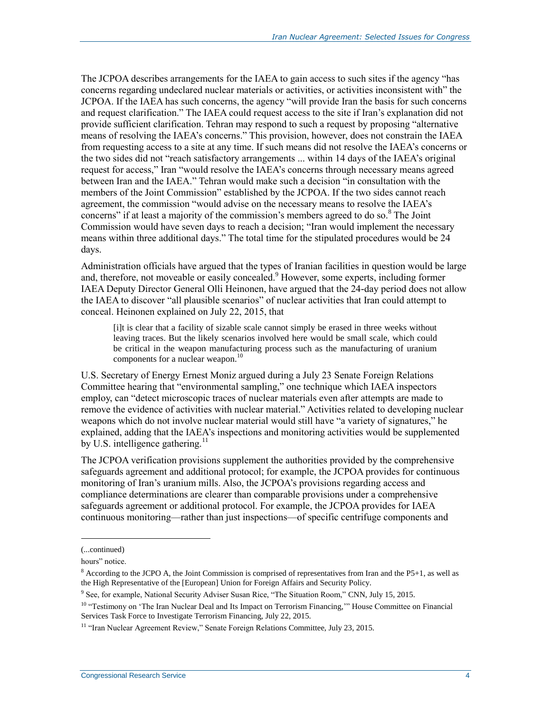The JCPOA describes arrangements for the IAEA to gain access to such sites if the agency "has concerns regarding undeclared nuclear materials or activities, or activities inconsistent with" the JCPOA. If the IAEA has such concerns, the agency "will provide Iran the basis for such concerns and request clarification." The IAEA could request access to the site if Iran's explanation did not provide sufficient clarification. Tehran may respond to such a request by proposing "alternative means of resolving the IAEA's concerns." This provision, however, does not constrain the IAEA from requesting access to a site at any time. If such means did not resolve the IAEA's concerns or the two sides did not "reach satisfactory arrangements ... within 14 days of the IAEA's original request for access," Iran "would resolve the IAEA's concerns through necessary means agreed between Iran and the IAEA." Tehran would make such a decision "in consultation with the members of the Joint Commission" established by the JCPOA. If the two sides cannot reach agreement, the commission "would advise on the necessary means to resolve the IAEA's concerns" if at least a majority of the commission's members agreed to do so. $8$  The Joint Commission would have seven days to reach a decision; "Iran would implement the necessary means within three additional days." The total time for the stipulated procedures would be 24 days.

Administration officials have argued that the types of Iranian facilities in question would be large and, therefore, not moveable or easily concealed.<sup>9</sup> However, some experts, including former IAEA Deputy Director General Olli Heinonen, have argued that the 24-day period does not allow the IAEA to discover "all plausible scenarios" of nuclear activities that Iran could attempt to conceal. Heinonen explained on July 22, 2015, that

[i]t is clear that a facility of sizable scale cannot simply be erased in three weeks without leaving traces. But the likely scenarios involved here would be small scale, which could be critical in the weapon manufacturing process such as the manufacturing of uranium components for a nuclear weapon.<sup>10</sup>

U.S. Secretary of Energy Ernest Moniz argued during a July 23 Senate Foreign Relations Committee hearing that "environmental sampling," one technique which IAEA inspectors employ, can "detect microscopic traces of nuclear materials even after attempts are made to remove the evidence of activities with nuclear material." Activities related to developing nuclear weapons which do not involve nuclear material would still have "a variety of signatures," he explained, adding that the IAEA's inspections and monitoring activities would be supplemented by U.S. intelligence gathering. $^{11}$ 

The JCPOA verification provisions supplement the authorities provided by the comprehensive safeguards agreement and additional protocol; for example, the JCPOA provides for continuous monitoring of Iran's uranium mills. Also, the JCPOA's provisions regarding access and compliance determinations are clearer than comparable provisions under a comprehensive safeguards agreement or additional protocol. For example, the JCPOA provides for IAEA continuous monitoring—rather than just inspections—of specific centrifuge components and

l

<sup>(...</sup>continued)

hours" notice.

 $8$  According to the JCPO A, the Joint Commission is comprised of representatives from Iran and the P5+1, as well as the High Representative of the [European] Union for Foreign Affairs and Security Policy.

<sup>&</sup>lt;sup>9</sup> See, for example, National Security Adviser Susan Rice, "The Situation Room," CNN, July 15, 2015.

<sup>&</sup>lt;sup>10</sup> "Testimony on 'The Iran Nuclear Deal and Its Impact on Terrorism Financing," House Committee on Financial Services Task Force to Investigate Terrorism Financing, July 22, 2015.

<sup>&</sup>lt;sup>11</sup> "Iran Nuclear Agreement Review," Senate Foreign Relations Committee, July 23, 2015.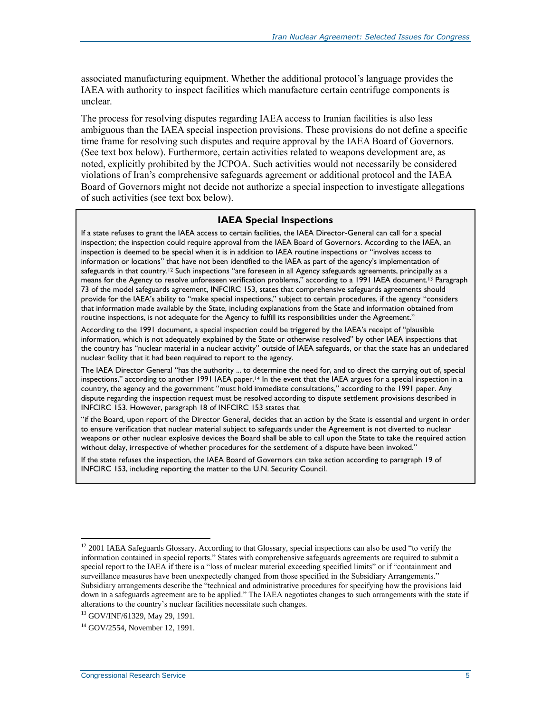associated manufacturing equipment. Whether the additional protocol's language provides the IAEA with authority to inspect facilities which manufacture certain centrifuge components is unclear.

The process for resolving disputes regarding IAEA access to Iranian facilities is also less ambiguous than the IAEA special inspection provisions. These provisions do not define a specific time frame for resolving such disputes and require approval by the IAEA Board of Governors. (See text box below). Furthermore, certain activities related to weapons development are, as noted, explicitly prohibited by the JCPOA. Such activities would not necessarily be considered violations of Iran's comprehensive safeguards agreement or additional protocol and the IAEA Board of Governors might not decide not authorize a special inspection to investigate allegations of such activities (see text box below).

#### **IAEA Special Inspections**

If a state refuses to grant the IAEA access to certain facilities, the IAEA Director-General can call for a special inspection; the inspection could require approval from the IAEA Board of Governors. According to the IAEA, an inspection is deemed to be special when it is in addition to IAEA routine inspections or "involves access to information or locations" that have not been identified to the IAEA as part of the agency's implementation of safeguards in that country.<sup>12</sup> Such inspections "are foreseen in all Agency safeguards agreements, principally as a means for the Agency to resolve unforeseen verification problems," according to a 1991 IAEA document.<sup>13</sup> Paragraph 73 of the model safeguards agreement, INFCIRC 153, states that comprehensive safeguards agreements should provide for the IAEA's ability to "make special inspections," subject to certain procedures, if the agency "considers that information made available by the State, including explanations from the State and information obtained from routine inspections, is not adequate for the Agency to fulfill its responsibilities under the Agreement."

According to the 1991 document, a special inspection could be triggered by the IAEA's receipt of "plausible information, which is not adequately explained by the State or otherwise resolved" by other IAEA inspections that the country has "nuclear material in a nuclear activity" outside of IAEA safeguards, or that the state has an undeclared nuclear facility that it had been required to report to the agency.

The IAEA Director General "has the authority ... to determine the need for, and to direct the carrying out of, special inspections," according to another 1991 IAEA paper.<sup>14</sup> In the event that the IAEA argues for a special inspection in a country, the agency and the government "must hold immediate consultations," according to the 1991 paper. Any dispute regarding the inspection request must be resolved according to dispute settlement provisions described in INFCIRC 153. However, paragraph 18 of INFCIRC 153 states that

"if the Board, upon report of the Director General, decides that an action by the State is essential and urgent in order to ensure verification that nuclear material subject to safeguards under the Agreement is not diverted to nuclear weapons or other nuclear explosive devices the Board shall be able to call upon the State to take the required action without delay, irrespective of whether procedures for the settlement of a dispute have been invoked."

If the state refuses the inspection, the IAEA Board of Governors can take action according to paragraph 19 of INFCIRC 153, including reporting the matter to the U.N. Security Council.

<sup>&</sup>lt;sup>12</sup> 2001 IAEA Safeguards Glossary. According to that Glossary, special inspections can also be used "to verify the information contained in special reports." States with comprehensive safeguards agreements are required to submit a special report to the IAEA if there is a "loss of nuclear material exceeding specified limits" or if "containment and surveillance measures have been unexpectedly changed from those specified in the Subsidiary Arrangements." Subsidiary arrangements describe the "technical and administrative procedures for specifying how the provisions laid down in a safeguards agreement are to be applied." The IAEA negotiates changes to such arrangements with the state if alterations to the country's nuclear facilities necessitate such changes.

<sup>13</sup> GOV/INF/61329, May 29, 1991.

<sup>14</sup> GOV/2554, November 12, 1991.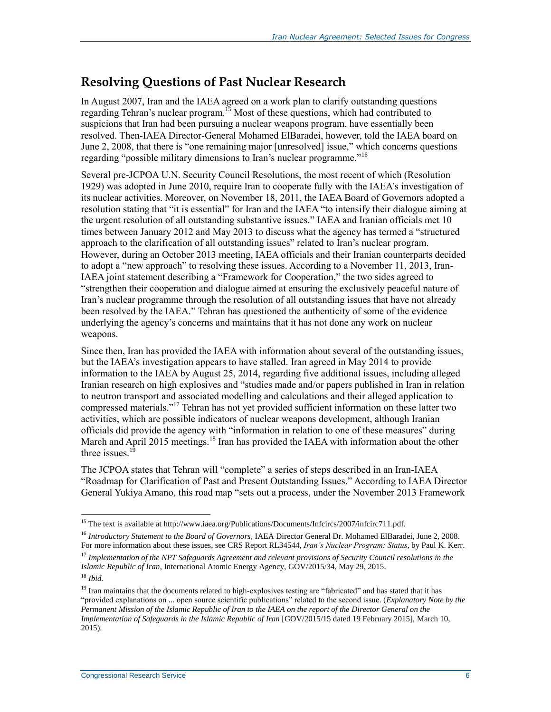### <span id="page-8-0"></span>**Resolving Questions of Past Nuclear Research**

In August 2007, Iran and the IAEA agreed on a work plan to clarify outstanding questions regarding Tehran's nuclear program.<sup>15</sup> Most of these questions, which had contributed to suspicions that Iran had been pursuing a nuclear weapons program, have essentially been resolved. Then-IAEA Director-General Mohamed ElBaradei, however, told the IAEA board on June 2, 2008, that there is "one remaining major [unresolved] issue," which concerns questions regarding "possible military dimensions to Iran's nuclear programme."<sup>16</sup>

Several pre-JCPOA U.N. Security Council Resolutions, the most recent of which (Resolution 1929) was adopted in June 2010, require Iran to cooperate fully with the IAEA's investigation of its nuclear activities. Moreover, on November 18, 2011, the IAEA Board of Governors adopted a resolution stating that "it is essential" for Iran and the IAEA "to intensify their dialogue aiming at the urgent resolution of all outstanding substantive issues." IAEA and Iranian officials met 10 times between January 2012 and May 2013 to discuss what the agency has termed a "structured approach to the clarification of all outstanding issues" related to Iran's nuclear program. However, during an October 2013 meeting, IAEA officials and their Iranian counterparts decided to adopt a "new approach" to resolving these issues. According to a November 11, 2013, Iran-IAEA joint statement describing a "Framework for Cooperation," the two sides agreed to "strengthen their cooperation and dialogue aimed at ensuring the exclusively peaceful nature of Iran's nuclear programme through the resolution of all outstanding issues that have not already been resolved by the IAEA." Tehran has questioned the authenticity of some of the evidence underlying the agency's concerns and maintains that it has not done any work on nuclear weapons.

Since then, Iran has provided the IAEA with information about several of the outstanding issues, but the IAEA's investigation appears to have stalled. Iran agreed in May 2014 to provide information to the IAEA by August 25, 2014, regarding five additional issues, including alleged Iranian research on high explosives and "studies made and/or papers published in Iran in relation to neutron transport and associated modelling and calculations and their alleged application to compressed materials."<sup>17</sup> Tehran has not yet provided sufficient information on these latter two activities, which are possible indicators of nuclear weapons development, although Iranian officials did provide the agency with "information in relation to one of these measures" during March and April 2015 meetings.<sup>18</sup> Iran has provided the IAEA with information about the other three issues. $1\frac{1}{2}$ 

The JCPOA states that Tehran will "complete" a series of steps described in an Iran-IAEA "Roadmap for Clarification of Past and Present Outstanding Issues." According to IAEA Director General Yukiya Amano, this road map "sets out a process, under the November 2013 Framework

<sup>&</sup>lt;sup>15</sup> The text is available at http://www.iaea.org/Publications/Documents/Infcircs/2007/infcirc711.pdf.

<sup>16</sup> *Introductory Statement to the Board of Governors*, IAEA Director General Dr. Mohamed ElBaradei, June 2, 2008. For more information about these issues, see CRS Report RL34544, *Iran's Nuclear Program: Status*, by Paul K. Kerr.

<sup>17</sup> *Implementation of the NPT Safeguards Agreement and relevant provisions of Security Council resolutions in the Islamic Republic of Iran*, International Atomic Energy Agency, GOV/2015/34, May 29, 2015. <sup>18</sup> *Ibid.*

 $19$  Iran maintains that the documents related to high-explosives testing are "fabricated" and has stated that it has "provided explanations on ... open source scientific publications" related to the second issue. (*Explanatory Note by the Permanent Mission of the Islamic Republic of Iran to the IAEA on the report of the Director General on the Implementation of Safeguards in the Islamic Republic of Iran [GOV/2015/15 dated 19 February 2015]*, March 10, 2015).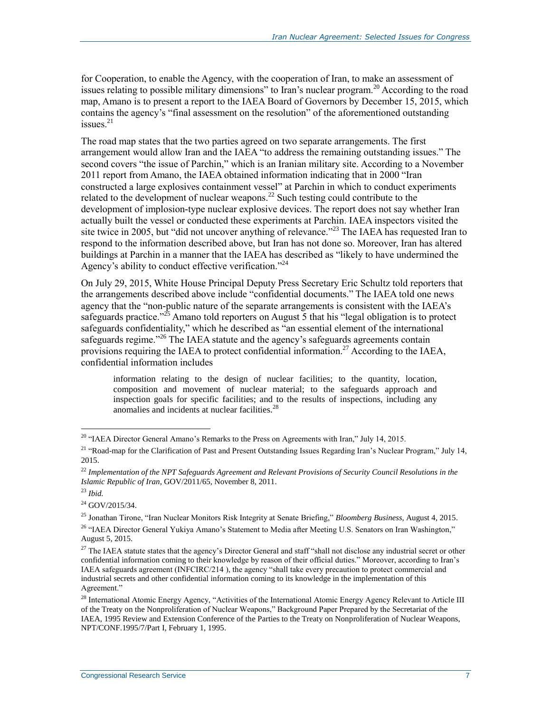for Cooperation, to enable the Agency, with the cooperation of Iran, to make an assessment of issues relating to possible military dimensions" to Iran's nuclear program.<sup>20</sup> According to the road map, Amano is to present a report to the IAEA Board of Governors by December 15, 2015, which contains the agency's "final assessment on the resolution" of the aforementioned outstanding issues. $^{21}$ 

The road map states that the two parties agreed on two separate arrangements. The first arrangement would allow Iran and the IAEA "to address the remaining outstanding issues." The second covers "the issue of Parchin," which is an Iranian military site. According to a November 2011 report from Amano, the IAEA obtained information indicating that in 2000 "Iran constructed a large explosives containment vessel" at Parchin in which to conduct experiments related to the development of nuclear weapons.<sup>22</sup> Such testing could contribute to the development of implosion-type nuclear explosive devices. The report does not say whether Iran actually built the vessel or conducted these experiments at Parchin. IAEA inspectors visited the site twice in 2005, but "did not uncover anything of relevance."<sup>23</sup> The IAEA has requested Iran to respond to the information described above, but Iran has not done so. Moreover, Iran has altered buildings at Parchin in a manner that the IAEA has described as "likely to have undermined the Agency's ability to conduct effective verification."<sup>24</sup>

On July 29, 2015, White House Principal Deputy Press Secretary Eric Schultz told reporters that the arrangements described above include "confidential documents." The IAEA told one news agency that the "non-public nature of the separate arrangements is consistent with the IAEA's safeguards practice."<sup>25</sup> Amano told reporters on August  $\overline{5}$  that his "legal obligation is to protect safeguards confidentiality," which he described as "an essential element of the international safeguards regime."<sup>26</sup> The IAEA statute and the agency's safeguards agreements contain provisions requiring the IAEA to protect confidential information.<sup>27</sup> According to the IAEA, confidential information includes

information relating to the design of nuclear facilities; to the quantity, location, composition and movement of nuclear material; to the safeguards approach and inspection goals for specific facilities; and to the results of inspections, including any anomalies and incidents at nuclear facilities.<sup>28</sup>

<sup>&</sup>lt;sup>20</sup> "IAEA Director General Amano's Remarks to the Press on Agreements with Iran," July 14, 2015.

<sup>&</sup>lt;sup>21</sup> "Road-map for the Clarification of Past and Present Outstanding Issues Regarding Iran's Nuclear Program," July 14, 2015.

<sup>22</sup> *Implementation of the NPT Safeguards Agreement and Relevant Provisions of Security Council Resolutions in the Islamic Republic of Iran*, GOV/2011/65, November 8, 2011.

<sup>23</sup> *Ibid.*

 $^{24}$  GOV/2015/34.

<sup>25</sup> Jonathan Tirone, "Iran Nuclear Monitors Risk Integrity at Senate Briefing," *Bloomberg Business*, August 4, 2015.

<sup>&</sup>lt;sup>26</sup> "IAEA Director General Yukiya Amano's Statement to Media after Meeting U.S. Senators on Iran Washington," August 5, 2015.

<sup>&</sup>lt;sup>27</sup> The IAEA statute states that the agency's Director General and staff "shall not disclose any industrial secret or other confidential information coming to their knowledge by reason of their official duties." Moreover, according to Iran's IAEA safeguards agreement (INFCIRC/214 ), the agency "shall take every precaution to protect commercial and industrial secrets and other confidential information coming to its knowledge in the implementation of this Agreement."

<sup>&</sup>lt;sup>28</sup> International Atomic Energy Agency, "Activities of the International Atomic Energy Agency Relevant to Article III of the Treaty on the Nonproliferation of Nuclear Weapons," Background Paper Prepared by the Secretariat of the IAEA, 1995 Review and Extension Conference of the Parties to the Treaty on Nonproliferation of Nuclear Weapons, NPT/CONF.1995/7/Part I, February 1, 1995.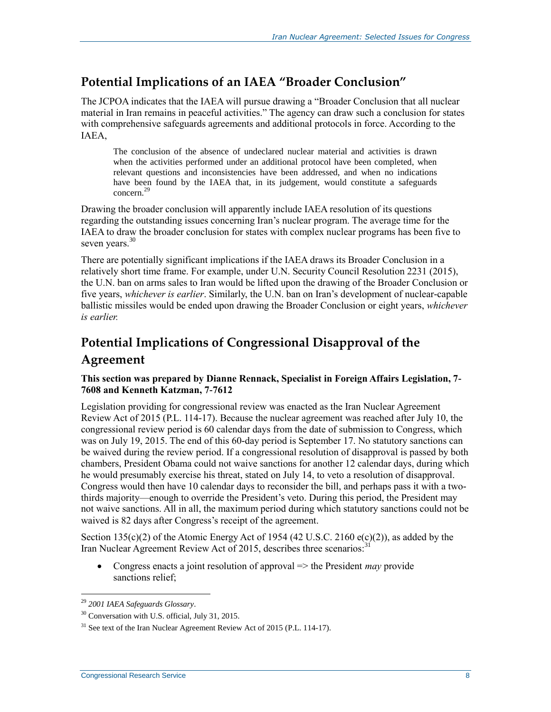### <span id="page-10-0"></span>**Potential Implications of an IAEA "Broader Conclusion"**

The JCPOA indicates that the IAEA will pursue drawing a "Broader Conclusion that all nuclear material in Iran remains in peaceful activities." The agency can draw such a conclusion for states with comprehensive safeguards agreements and additional protocols in force. According to the IAEA,

The conclusion of the absence of undeclared nuclear material and activities is drawn when the activities performed under an additional protocol have been completed, when relevant questions and inconsistencies have been addressed, and when no indications have been found by the IAEA that, in its judgement, would constitute a safeguards concern.<sup>29</sup>

Drawing the broader conclusion will apparently include IAEA resolution of its questions regarding the outstanding issues concerning Iran's nuclear program. The average time for the IAEA to draw the broader conclusion for states with complex nuclear programs has been five to seven years.<sup>30</sup>

There are potentially significant implications if the IAEA draws its Broader Conclusion in a relatively short time frame. For example, under U.N. Security Council Resolution 2231 (2015), the U.N. ban on arms sales to Iran would be lifted upon the drawing of the Broader Conclusion or five years, *whichever is earlier*. Similarly, the U.N. ban on Iran's development of nuclear-capable ballistic missiles would be ended upon drawing the Broader Conclusion or eight years, *whichever is earlier.*

### <span id="page-10-1"></span>**Potential Implications of Congressional Disapproval of the Agreement**

#### **This section was prepared by Dianne Rennack, Specialist in Foreign Affairs Legislation, 7- 7608 and Kenneth Katzman, 7-7612**

Legislation providing for congressional review was enacted as the Iran Nuclear Agreement Review Act of 2015 [\(P.L. 114-17\)](http://www.congress.gov/cgi-lis/bdquery/R?d114:FLD002:@1(114+17)). Because the nuclear agreement was reached after July 10, the congressional review period is 60 calendar days from the date of submission to Congress, which was on July 19, 2015. The end of this 60-day period is September 17. No statutory sanctions can be waived during the review period. If a congressional resolution of disapproval is passed by both chambers, President Obama could not waive sanctions for another 12 calendar days, during which he would presumably exercise his threat, stated on July 14, to veto a resolution of disapproval. Congress would then have 10 calendar days to reconsider the bill, and perhaps pass it with a twothirds majority—enough to override the President's veto. During this period, the President may not waive sanctions. All in all, the maximum period during which statutory sanctions could not be waived is 82 days after Congress's receipt of the agreement.

Section 135(c)(2) of the Atomic Energy Act of 1954 (42 U.S.C. 2160 e(c)(2)), as added by the Iran Nuclear Agreement Review Act of 2015, describes three scenarios.<sup>31</sup>

• Congress enacts a joint resolution of approval => the President *may* provide sanctions relief:

<sup>29</sup> *2001 IAEA Safeguards Glossary*.

<sup>30</sup> Conversation with U.S. official, July 31, 2015.

 $31$  See text of the Iran Nuclear Agreement Review Act of 2015 (P.L. 114-17).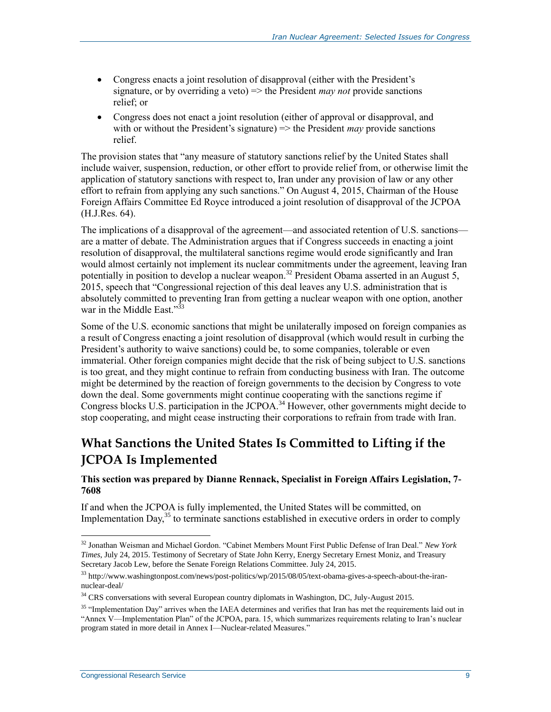- Congress enacts a joint resolution of disapproval (either with the President's signature, or by overriding a veto) => the President *may not* provide sanctions relief; or
- Congress does not enact a joint resolution (either of approval or disapproval, and with or without the President's signature) => the President *may* provide sanctions relief.

The provision states that "any measure of statutory sanctions relief by the United States shall include waiver, suspension, reduction, or other effort to provide relief from, or otherwise limit the application of statutory sanctions with respect to, Iran under any provision of law or any other effort to refrain from applying any such sanctions." On August 4, 2015, Chairman of the House Foreign Affairs Committee Ed Royce introduced a joint resolution of disapproval of the JCPOA [\(H.J.Res. 64\)](http://www.congress.gov/cgi-lis/bdquery/z?d114:H.J.Res.64:).

The implications of a disapproval of the agreement—and associated retention of U.S. sanctions are a matter of debate. The Administration argues that if Congress succeeds in enacting a joint resolution of disapproval, the multilateral sanctions regime would erode significantly and Iran would almost certainly not implement its nuclear commitments under the agreement, leaving Iran potentially in position to develop a nuclear weapon.<sup>32</sup> President Obama asserted in an August 5, 2015, speech that "Congressional rejection of this deal leaves any U.S. administration that is absolutely committed to preventing Iran from getting a nuclear weapon with one option, another war in the Middle East."<sup>33</sup>

Some of the U.S. economic sanctions that might be unilaterally imposed on foreign companies as a result of Congress enacting a joint resolution of disapproval (which would result in curbing the President's authority to waive sanctions) could be, to some companies, tolerable or even immaterial. Other foreign companies might decide that the risk of being subject to U.S. sanctions is too great, and they might continue to refrain from conducting business with Iran. The outcome might be determined by the reaction of foreign governments to the decision by Congress to vote down the deal. Some governments might continue cooperating with the sanctions regime if Congress blocks U.S. participation in the JCPOA.<sup>34</sup> However, other governments might decide to stop cooperating, and might cease instructing their corporations to refrain from trade with Iran.

### <span id="page-11-0"></span>**What Sanctions the United States Is Committed to Lifting if the JCPOA Is Implemented**

#### **This section was prepared by Dianne Rennack, Specialist in Foreign Affairs Legislation, 7- 7608**

If and when the JCPOA is fully implemented, the United States will be committed, on Implementation Day, $35$  to terminate sanctions established in executive orders in order to comply

<sup>32</sup> Jonathan Weisman and Michael Gordon. "Cabinet Members Mount First Public Defense of Iran Deal." *New York Times*, July 24, 2015. Testimony of Secretary of State John Kerry, Energy Secretary Ernest Moniz, and Treasury Secretary Jacob Lew, before the Senate Foreign Relations Committee. July 24, 2015.

<sup>33</sup> http://www.washingtonpost.com/news/post-politics/wp/2015/08/05/text-obama-gives-a-speech-about-the-irannuclear-deal/

<sup>&</sup>lt;sup>34</sup> CRS conversations with several European country diplomats in Washington, DC, July-August 2015.

<sup>&</sup>lt;sup>35</sup> "Implementation Day" arrives when the IAEA determines and verifies that Iran has met the requirements laid out in "Annex V—Implementation Plan" of the JCPOA, para. 15, which summarizes requirements relating to Iran's nuclear program stated in more detail in Annex I—Nuclear-related Measures."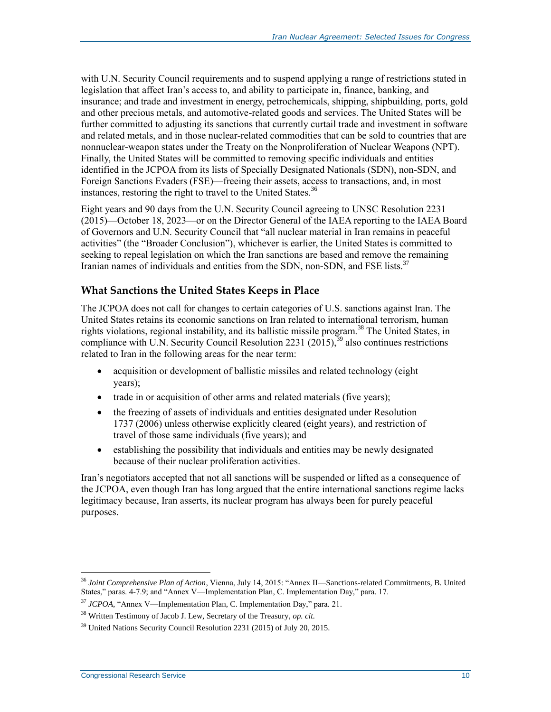with U.N. Security Council requirements and to suspend applying a range of restrictions stated in legislation that affect Iran's access to, and ability to participate in, finance, banking, and insurance; and trade and investment in energy, petrochemicals, shipping, shipbuilding, ports, gold and other precious metals, and automotive-related goods and services. The United States will be further committed to adjusting its sanctions that currently curtail trade and investment in software and related metals, and in those nuclear-related commodities that can be sold to countries that are nonnuclear-weapon states under the Treaty on the Nonproliferation of Nuclear Weapons (NPT). Finally, the United States will be committed to removing specific individuals and entities identified in the JCPOA from its lists of Specially Designated Nationals (SDN), non-SDN, and Foreign Sanctions Evaders (FSE)—freeing their assets, access to transactions, and, in most instances, restoring the right to travel to the United States.<sup>36</sup>

Eight years and 90 days from the U.N. Security Council agreeing to UNSC Resolution 2231 (2015)—October 18, 2023—or on the Director General of the IAEA reporting to the IAEA Board of Governors and U.N. Security Council that "all nuclear material in Iran remains in peaceful activities" (the "Broader Conclusion"), whichever is earlier, the United States is committed to seeking to repeal legislation on which the Iran sanctions are based and remove the remaining Iranian names of individuals and entities from the SDN, non-SDN, and FSE lists.<sup>37</sup>

#### <span id="page-12-0"></span>**What Sanctions the United States Keeps in Place**

The JCPOA does not call for changes to certain categories of U.S. sanctions against Iran. The United States retains its economic sanctions on Iran related to international terrorism, human rights violations, regional instability, and its ballistic missile program.<sup>38</sup> The United States, in compliance with U.N. Security Council Resolution 2231 (2015),  $39$  also continues restrictions related to Iran in the following areas for the near term:

- acquisition or development of ballistic missiles and related technology (eight years);
- trade in or acquisition of other arms and related materials (five years);
- the freezing of assets of individuals and entities designated under Resolution 1737 (2006) unless otherwise explicitly cleared (eight years), and restriction of travel of those same individuals (five years); and
- establishing the possibility that individuals and entities may be newly designated because of their nuclear proliferation activities.

Iran's negotiators accepted that not all sanctions will be suspended or lifted as a consequence of the JCPOA, even though Iran has long argued that the entire international sanctions regime lacks legitimacy because, Iran asserts, its nuclear program has always been for purely peaceful purposes.

 $\overline{a}$ <sup>36</sup> *Joint Comprehensive Plan of Action*, Vienna, July 14, 2015: "Annex II—Sanctions-related Commitments, B. United States," paras. 4-7.9; and "Annex V—Implementation Plan, C. Implementation Day," para. 17.

<sup>37</sup> *JCPOA*, "Annex V—Implementation Plan, C. Implementation Day," para. 21.

<sup>38</sup> Written Testimony of Jacob J. Lew, Secretary of the Treasury, *op. cit.*

<sup>&</sup>lt;sup>39</sup> United Nations Security Council Resolution 2231 (2015) of July 20, 2015.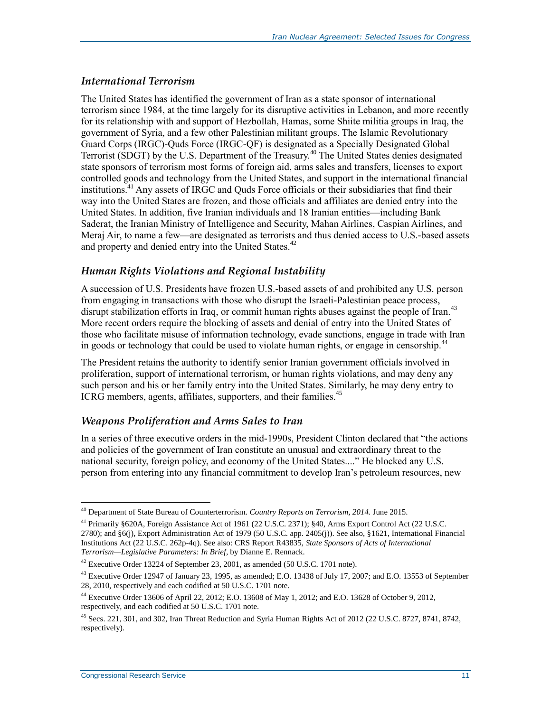#### *International Terrorism*

The United States has identified the government of Iran as a state sponsor of international terrorism since 1984, at the time largely for its disruptive activities in Lebanon, and more recently for its relationship with and support of Hezbollah, Hamas, some Shiite militia groups in Iraq, the government of Syria, and a few other Palestinian militant groups. The Islamic Revolutionary Guard Corps (IRGC)-Quds Force (IRGC-QF) is designated as a Specially Designated Global Terrorist (SDGT) by the U.S. Department of the Treasury.<sup>40</sup> The United States denies designated state sponsors of terrorism most forms of foreign aid, arms sales and transfers, licenses to export controlled goods and technology from the United States, and support in the international financial institutions.<sup>41</sup> Any assets of IRGC and Ouds Force officials or their subsidiaries that find their way into the United States are frozen, and those officials and affiliates are denied entry into the United States. In addition, five Iranian individuals and 18 Iranian entities—including Bank Saderat, the Iranian Ministry of Intelligence and Security, Mahan Airlines, Caspian Airlines, and Meraj Air, to name a few—are designated as terrorists and thus denied access to U.S.-based assets and property and denied entry into the United States.<sup>42</sup>

### *Human Rights Violations and Regional Instability*

A succession of U.S. Presidents have frozen U.S.-based assets of and prohibited any U.S. person from engaging in transactions with those who disrupt the Israeli-Palestinian peace process, disrupt stabilization efforts in Iraq, or commit human rights abuses against the people of Iran.<sup>43</sup> More recent orders require the blocking of assets and denial of entry into the United States of those who facilitate misuse of information technology, evade sanctions, engage in trade with Iran in goods or technology that could be used to violate human rights, or engage in censorship.<sup>44</sup>

The President retains the authority to identify senior Iranian government officials involved in proliferation, support of international terrorism, or human rights violations, and may deny any such person and his or her family entry into the United States. Similarly, he may deny entry to ICRG members, agents, affiliates, supporters, and their families.<sup>45</sup>

#### *Weapons Proliferation and Arms Sales to Iran*

In a series of three executive orders in the mid-1990s, President Clinton declared that "the actions and policies of the government of Iran constitute an unusual and extraordinary threat to the national security, foreign policy, and economy of the United States...." He blocked any U.S. person from entering into any financial commitment to develop Iran's petroleum resources, new

<sup>40</sup> Department of State Bureau of Counterterrorism. *Country Reports on Terrorism, 2014.* June 2015.

<sup>&</sup>lt;sup>41</sup> Primarily §620A, Foreign Assistance Act of 1961 (22 U.S.C. 2371); §40, Arms Export Control Act (22 U.S.C. 2780); and §6(j), Export Administration Act of 1979 (50 U.S.C. app. 2405(j)). See also, §1621, International Financial Institutions Act (22 U.S.C. 262p-4q). See also: CRS Report R43835, *State Sponsors of Acts of International Terrorism—Legislative Parameters: In Brief*, by Dianne E. Rennack.

<sup>42</sup> Executive Order 13224 of September 23, 2001, as amended (50 U.S.C. 1701 note).

 $^{43}$  Executive Order 12947 of January 23, 1995, as amended; E.O. 13438 of July 17, 2007; and E.O. 13553 of September 28, 2010, respectively and each codified at 50 U.S.C. 1701 note.

<sup>44</sup> Executive Order 13606 of April 22, 2012; E.O. 13608 of May 1, 2012; and E.O. 13628 of October 9, 2012, respectively, and each codified at 50 U.S.C. 1701 note.

<sup>45</sup> Secs. 221, 301, and 302, Iran Threat Reduction and Syria Human Rights Act of 2012 (22 U.S.C. 8727, 8741, 8742, respectively).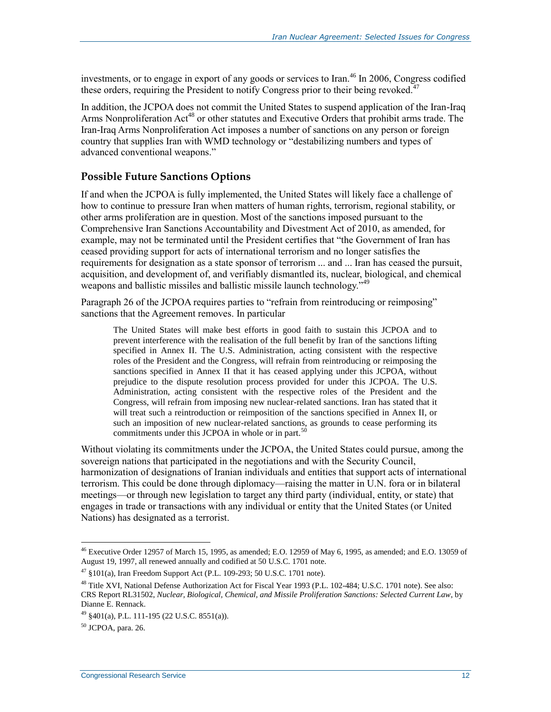investments, or to engage in export of any goods or services to Iran.<sup>46</sup> In 2006, Congress codified these orders, requiring the President to notify Congress prior to their being revoked.<sup>47</sup>

In addition, the JCPOA does not commit the United States to suspend application of the Iran-Iraq Arms Nonproliferation Act<sup>48</sup> or other statutes and Executive Orders that prohibit arms trade. The Iran-Iraq Arms Nonproliferation Act imposes a number of sanctions on any person or foreign country that supplies Iran with WMD technology or "destabilizing numbers and types of advanced conventional weapons."

### <span id="page-14-0"></span>**Possible Future Sanctions Options**

If and when the JCPOA is fully implemented, the United States will likely face a challenge of how to continue to pressure Iran when matters of human rights, terrorism, regional stability, or other arms proliferation are in question. Most of the sanctions imposed pursuant to the Comprehensive Iran Sanctions Accountability and Divestment Act of 2010, as amended, for example, may not be terminated until the President certifies that "the Government of Iran has ceased providing support for acts of international terrorism and no longer satisfies the requirements for designation as a state sponsor of terrorism ... and ... Iran has ceased the pursuit, acquisition, and development of, and verifiably dismantled its, nuclear, biological, and chemical weapons and ballistic missiles and ballistic missile launch technology."<sup>49</sup>

Paragraph 26 of the JCPOA requires parties to "refrain from reintroducing or reimposing" sanctions that the Agreement removes. In particular

The United States will make best efforts in good faith to sustain this JCPOA and to prevent interference with the realisation of the full benefit by Iran of the sanctions lifting specified in Annex II. The U.S. Administration, acting consistent with the respective roles of the President and the Congress, will refrain from reintroducing or reimposing the sanctions specified in Annex II that it has ceased applying under this JCPOA, without prejudice to the dispute resolution process provided for under this JCPOA. The U.S. Administration, acting consistent with the respective roles of the President and the Congress, will refrain from imposing new nuclear-related sanctions. Iran has stated that it will treat such a reintroduction or reimposition of the sanctions specified in Annex II, or such an imposition of new nuclear-related sanctions, as grounds to cease performing its commitments under this JCPOA in whole or in part. $50$ 

Without violating its commitments under the JCPOA, the United States could pursue, among the sovereign nations that participated in the negotiations and with the Security Council, harmonization of designations of Iranian individuals and entities that support acts of international terrorism. This could be done through diplomacy—raising the matter in U.N. fora or in bilateral meetings—or through new legislation to target any third party (individual, entity, or state) that engages in trade or transactions with any individual or entity that the United States (or United Nations) has designated as a terrorist.

 $^{46}$  Executive Order 12957 of March 15, 1995, as amended; E.O. 12959 of May 6, 1995, as amended; and E.O. 13059 of August 19, 1997, all renewed annually and codified at 50 U.S.C. 1701 note.

 $^{47}$  §101(a), Iran Freedom Support Act (P.L. 109-293; 50 U.S.C. 1701 note).

<sup>&</sup>lt;sup>48</sup> Title XVI, National Defense Authorization Act for Fiscal Year 1993 (P.L. 102-484; U.S.C. 1701 note). See also: CRS Report RL31502, *Nuclear, Biological, Chemical, and Missile Proliferation Sanctions: Selected Current Law*, by Dianne E. Rennack.

<sup>49</sup> §401(a), P.L. 111-195 (22 U.S.C. 8551(a)).

<sup>50</sup> JCPOA, para. 26.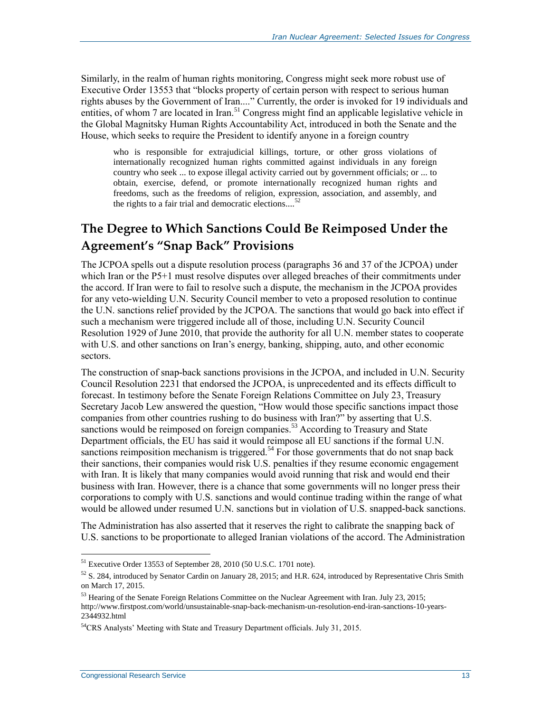Similarly, in the realm of human rights monitoring, Congress might seek more robust use of Executive Order 13553 that "blocks property of certain person with respect to serious human rights abuses by the Government of Iran...." Currently, the order is invoked for 19 individuals and entities, of whom 7 are located in Iran.<sup>51</sup> Congress might find an applicable legislative vehicle in the Global Magnitsky Human Rights Accountability Act, introduced in both the Senate and the House, which seeks to require the President to identify anyone in a foreign country

who is responsible for extrajudicial killings, torture, or other gross violations of internationally recognized human rights committed against individuals in any foreign country who seek ... to expose illegal activity carried out by government officials; or ... to obtain, exercise, defend, or promote internationally recognized human rights and freedoms, such as the freedoms of religion, expression, association, and assembly, and the rights to a fair trial and democratic elections....<sup>52</sup>

### <span id="page-15-0"></span>**The Degree to Which Sanctions Could Be Reimposed Under the Agreement's "Snap Back" Provisions**

The JCPOA spells out a dispute resolution process (paragraphs 36 and 37 of the JCPOA) under which Iran or the P5+1 must resolve disputes over alleged breaches of their commitments under the accord. If Iran were to fail to resolve such a dispute, the mechanism in the JCPOA provides for any veto-wielding U.N. Security Council member to veto a proposed resolution to continue the U.N. sanctions relief provided by the JCPOA. The sanctions that would go back into effect if such a mechanism were triggered include all of those, including U.N. Security Council Resolution 1929 of June 2010, that provide the authority for all U.N. member states to cooperate with U.S. and other sanctions on Iran's energy, banking, shipping, auto, and other economic sectors.

The construction of snap-back sanctions provisions in the JCPOA, and included in U.N. Security Council Resolution 2231 that endorsed the JCPOA, is unprecedented and its effects difficult to forecast. In testimony before the Senate Foreign Relations Committee on July 23, Treasury Secretary Jacob Lew answered the question, "How would those specific sanctions impact those companies from other countries rushing to do business with Iran?" by asserting that U.S. sanctions would be reimposed on foreign companies.<sup>53</sup> According to Treasury and State Department officials, the EU has said it would reimpose all EU sanctions if the formal U.N. sanctions reimposition mechanism is triggered.<sup>54</sup> For those governments that do not snap back their sanctions, their companies would risk U.S. penalties if they resume economic engagement with Iran. It is likely that many companies would avoid running that risk and would end their business with Iran. However, there is a chance that some governments will no longer press their corporations to comply with U.S. sanctions and would continue trading within the range of what would be allowed under resumed U.N. sanctions but in violation of U.S. snapped-back sanctions.

The Administration has also asserted that it reserves the right to calibrate the snapping back of U.S. sanctions to be proportionate to alleged Iranian violations of the accord. The Administration

 $<sup>51</sup>$  Executive Order 13553 of September 28, 2010 (50 U.S.C. 1701 note).</sup>

 $52$  S. 284, introduced by Senator Cardin on January 28, 2015; and H.R. 624, introduced by Representative Chris Smith on March 17, 2015.

<sup>&</sup>lt;sup>53</sup> Hearing of the Senate Foreign Relations Committee on the Nuclear Agreement with Iran. July 23, 2015; http://www.firstpost.com/world/unsustainable-snap-back-mechanism-un-resolution-end-iran-sanctions-10-years-2344932.html

<sup>54</sup>CRS Analysts' Meeting with State and Treasury Department officials. July 31, 2015.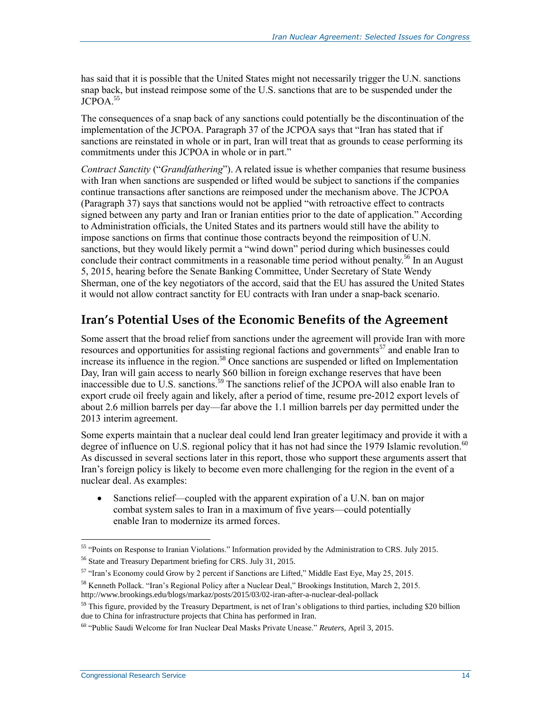has said that it is possible that the United States might not necessarily trigger the U.N. sanctions snap back, but instead reimpose some of the U.S. sanctions that are to be suspended under the JCPOA.<sup>55</sup>

The consequences of a snap back of any sanctions could potentially be the discontinuation of the implementation of the JCPOA. Paragraph 37 of the JCPOA says that "Iran has stated that if sanctions are reinstated in whole or in part, Iran will treat that as grounds to cease performing its commitments under this JCPOA in whole or in part."

*Contract Sanctity* ("*Grandfathering*"). A related issue is whether companies that resume business with Iran when sanctions are suspended or lifted would be subject to sanctions if the companies continue transactions after sanctions are reimposed under the mechanism above. The JCPOA (Paragraph 37) says that sanctions would not be applied "with retroactive effect to contracts signed between any party and Iran or Iranian entities prior to the date of application." According to Administration officials, the United States and its partners would still have the ability to impose sanctions on firms that continue those contracts beyond the reimposition of U.N. sanctions, but they would likely permit a "wind down" period during which businesses could conclude their contract commitments in a reasonable time period without penalty.<sup>56</sup> In an August 5, 2015, hearing before the Senate Banking Committee, Under Secretary of State Wendy Sherman, one of the key negotiators of the accord, said that the EU has assured the United States it would not allow contract sanctity for EU contracts with Iran under a snap-back scenario.

### <span id="page-16-0"></span>**Iran's Potential Uses of the Economic Benefits of the Agreement**

Some assert that the broad relief from sanctions under the agreement will provide Iran with more resources and opportunities for assisting regional factions and governments<sup>57</sup> and enable Iran to increase its influence in the region.<sup>58</sup> Once sanctions are suspended or lifted on Implementation Day, Iran will gain access to nearly \$60 billion in foreign exchange reserves that have been inaccessible due to U.S. sanctions.<sup>59</sup> The sanctions relief of the JCPOA will also enable Iran to export crude oil freely again and likely, after a period of time, resume pre-2012 export levels of about 2.6 million barrels per day—far above the 1.1 million barrels per day permitted under the 2013 interim agreement.

Some experts maintain that a nuclear deal could lend Iran greater legitimacy and provide it with a degree of influence on U.S. regional policy that it has not had since the 1979 Islamic revolution.<sup>60</sup> As discussed in several sections later in this report, those who support these arguments assert that Iran's foreign policy is likely to become even more challenging for the region in the event of a nuclear deal. As examples:

• Sanctions relief—coupled with the apparent expiration of a U.N. ban on major combat system sales to Iran in a maximum of five years—could potentially enable Iran to modernize its armed forces.

<sup>&</sup>lt;sup>55</sup> "Points on Response to Iranian Violations." Information provided by the Administration to CRS. July 2015.

<sup>56</sup> State and Treasury Department briefing for CRS. July 31, 2015.

<sup>&</sup>lt;sup>57</sup> "Iran's Economy could Grow by 2 percent if Sanctions are Lifted," Middle East Eye, May 25, 2015.

<sup>&</sup>lt;sup>58</sup> Kenneth Pollack. "Iran's Regional Policy after a Nuclear Deal," Brookings Institution, March 2, 2015. http://www.brookings.edu/blogs/markaz/posts/2015/03/02-iran-after-a-nuclear-deal-pollack

 $59$  This figure, provided by the Treasury Department, is net of Iran's obligations to third parties, including \$20 billion due to China for infrastructure projects that China has performed in Iran.

<sup>60</sup> "Public Saudi Welcome for Iran Nuclear Deal Masks Private Unease." *Reuters*, April 3, 2015.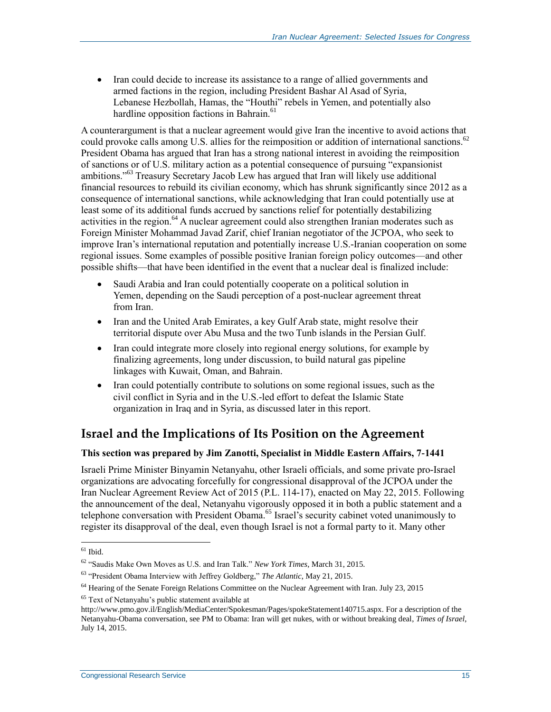• Iran could decide to increase its assistance to a range of allied governments and armed factions in the region, including President Bashar Al Asad of Syria, Lebanese Hezbollah, Hamas, the "Houthi" rebels in Yemen, and potentially also hardline opposition factions in Bahrain.<sup>61</sup>

A counterargument is that a nuclear agreement would give Iran the incentive to avoid actions that could provoke calls among U.S. allies for the reimposition or addition of international sanctions.<sup>62</sup> President Obama has argued that Iran has a strong national interest in avoiding the reimposition of sanctions or of U.S. military action as a potential consequence of pursuing "expansionist ambitions."<sup>63</sup> Treasury Secretary Jacob Lew has argued that Iran will likely use additional financial resources to rebuild its civilian economy, which has shrunk significantly since 2012 as a consequence of international sanctions, while acknowledging that Iran could potentially use at least some of its additional funds accrued by sanctions relief for potentially destabilizing activities in the region.<sup>64</sup> A nuclear agreement could also strengthen Iranian moderates such as Foreign Minister Mohammad Javad Zarif, chief Iranian negotiator of the JCPOA, who seek to improve Iran's international reputation and potentially increase U.S.-Iranian cooperation on some regional issues. Some examples of possible positive Iranian foreign policy outcomes—and other possible shifts—that have been identified in the event that a nuclear deal is finalized include:

- Saudi Arabia and Iran could potentially cooperate on a political solution in Yemen, depending on the Saudi perception of a post-nuclear agreement threat from Iran.
- Iran and the United Arab Emirates, a key Gulf Arab state, might resolve their territorial dispute over Abu Musa and the two Tunb islands in the Persian Gulf.
- Iran could integrate more closely into regional energy solutions, for example by finalizing agreements, long under discussion, to build natural gas pipeline linkages with Kuwait, Oman, and Bahrain.
- Iran could potentially contribute to solutions on some regional issues, such as the civil conflict in Syria and in the U.S.-led effort to defeat the Islamic State organization in Iraq and in Syria, as discussed later in this report.

### <span id="page-17-0"></span>**Israel and the Implications of Its Position on the Agreement**

#### **This section was prepared by Jim Zanotti, Specialist in Middle Eastern Affairs, 7-1441**

Israeli Prime Minister Binyamin Netanyahu, other Israeli officials, and some private pro-Israel organizations are advocating forcefully for congressional disapproval of the JCPOA under the Iran Nuclear Agreement Review Act of 2015 [\(P.L. 114-17\)](http://www.congress.gov/cgi-lis/bdquery/R?d114:FLD002:@1(114+17)), enacted on May 22, 2015. Following the announcement of the deal, Netanyahu vigorously opposed it in both a public statement and a telephone conversation with President Obama.<sup>65</sup> Israel's security cabinet voted unanimously to register its disapproval of the deal, even though Israel is not a formal party to it. Many other

 $61$  Ibid.

<sup>62</sup> "Saudis Make Own Moves as U.S. and Iran Talk." *New York Times*, March 31, 2015.

<sup>63</sup> "President Obama Interview with Jeffrey Goldberg," *The Atlantic*, May 21, 2015.

<sup>&</sup>lt;sup>64</sup> Hearing of the Senate Foreign Relations Committee on the Nuclear Agreement with Iran. July 23, 2015

<sup>65</sup> Text of Netanyahu's public statement available at

http://www.pmo.gov.il/English/MediaCenter/Spokesman/Pages/spokeStatement140715.aspx. For a description of the Netanyahu-Obama conversation, see PM to Obama: Iran will get nukes, with or without breaking deal, *Times of Israel*, July 14, 2015.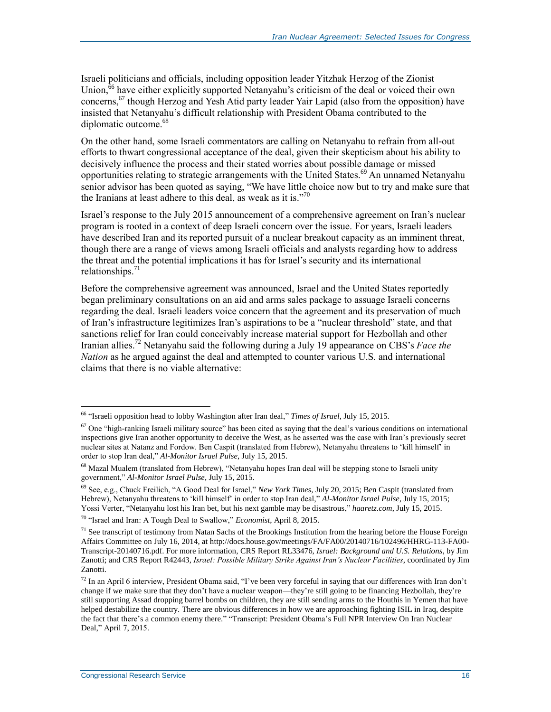Israeli politicians and officials, including opposition leader Yitzhak Herzog of the Zionist Union,<sup>66</sup> have either explicitly supported Netanyahu's criticism of the deal or voiced their own concerns,<sup>67</sup> though Herzog and Yesh Atid party leader Yair Lapid (also from the opposition) have insisted that Netanyahu's difficult relationship with President Obama contributed to the diplomatic outcome.<sup>68</sup>

On the other hand, some Israeli commentators are calling on Netanyahu to refrain from all-out efforts to thwart congressional acceptance of the deal, given their skepticism about his ability to decisively influence the process and their stated worries about possible damage or missed opportunities relating to strategic arrangements with the United States.<sup>69</sup> An unnamed Netanyahu senior advisor has been quoted as saying, "We have little choice now but to try and make sure that the Iranians at least adhere to this deal, as weak as it is."<sup>70</sup>

Israel's response to the July 2015 announcement of a comprehensive agreement on Iran's nuclear program is rooted in a context of deep Israeli concern over the issue. For years, Israeli leaders have described Iran and its reported pursuit of a nuclear breakout capacity as an imminent threat, though there are a range of views among Israeli officials and analysts regarding how to address the threat and the potential implications it has for Israel's security and its international relationships. $71$ 

Before the comprehensive agreement was announced, Israel and the United States reportedly began preliminary consultations on an aid and arms sales package to assuage Israeli concerns regarding the deal. Israeli leaders voice concern that the agreement and its preservation of much of Iran's infrastructure legitimizes Iran's aspirations to be a "nuclear threshold" state, and that sanctions relief for Iran could conceivably increase material support for Hezbollah and other Iranian allies.<sup>72</sup> Netanyahu said the following during a July 19 appearance on CBS's *Face the Nation* as he argued against the deal and attempted to counter various U.S. and international claims that there is no viable alternative:

<sup>66</sup> "Israeli opposition head to lobby Washington after Iran deal," *Times of Israel*, July 15, 2015.

 $67$  One "high-ranking Israeli military source" has been cited as saying that the deal's various conditions on international inspections give Iran another opportunity to deceive the West, as he asserted was the case with Iran's previously secret nuclear sites at Natanz and Fordow. Ben Caspit (translated from Hebrew), Netanyahu threatens to 'kill himself' in order to stop Iran deal," *Al-Monitor Israel Pulse*, July 15, 2015.

<sup>68</sup> Mazal Mualem (translated from Hebrew), "Netanyahu hopes Iran deal will be stepping stone to Israeli unity government," *Al-Monitor Israel Pulse*, July 15, 2015.

<sup>69</sup> See, e.g., Chuck Freilich, "A Good Deal for Israel," *New York Times*, July 20, 2015; Ben Caspit (translated from Hebrew), Netanyahu threatens to 'kill himself' in order to stop Iran deal," *Al-Monitor Israel Pulse*, July 15, 2015; Yossi Verter, "Netanyahu lost his Iran bet, but his next gamble may be disastrous," *haaretz.com*, July 15, 2015.

<sup>70</sup> "Israel and Iran: A Tough Deal to Swallow," *Economist*, April 8, 2015.

 $<sup>71</sup>$  See transcript of testimony from Natan Sachs of the Brookings Institution from the hearing before the House Foreign</sup> Affairs Committee on July 16, 2014, at http://docs.house.gov/meetings/FA/FA00/20140716/102496/HHRG-113-FA00- Transcript-20140716.pdf. For more information, CRS Report RL33476, *Israel: Background and U.S. Relations*, by Jim Zanotti; and CRS Report R42443, *Israel: Possible Military Strike Against Iran's Nuclear Facilities*, coordinated by Jim Zanotti.

 $72$  In an April 6 interview, President Obama said, "I've been very forceful in saying that our differences with Iran don't change if we make sure that they don't have a nuclear weapon—they're still going to be financing Hezbollah, they're still supporting Assad dropping barrel bombs on children, they are still sending arms to the Houthis in Yemen that have helped destabilize the country. There are obvious differences in how we are approaching fighting ISIL in Iraq, despite the fact that there's a common enemy there." "Transcript: President Obama's Full NPR Interview On Iran Nuclear Deal," April 7, 2015.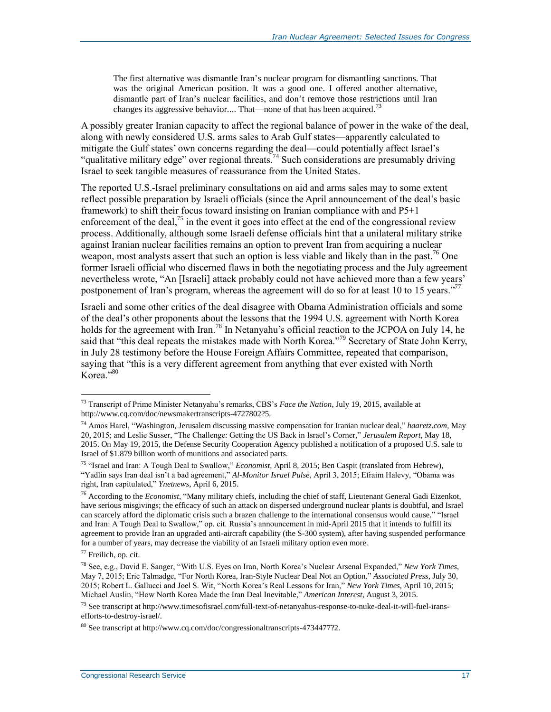The first alternative was dismantle Iran's nuclear program for dismantling sanctions. That was the original American position. It was a good one. I offered another alternative, dismantle part of Iran's nuclear facilities, and don't remove those restrictions until Iran changes its aggressive behavior.... That—none of that has been acquired.<sup>73</sup>

A possibly greater Iranian capacity to affect the regional balance of power in the wake of the deal, along with newly considered U.S. arms sales to Arab Gulf states—apparently calculated to mitigate the Gulf states' own concerns regarding the deal—could potentially affect Israel's "qualitative military edge" over regional threats.<sup>74</sup> Such considerations are presumably driving Israel to seek tangible measures of reassurance from the United States.

The reported U.S.-Israel preliminary consultations on aid and arms sales may to some extent reflect possible preparation by Israeli officials (since the April announcement of the deal's basic framework) to shift their focus toward insisting on Iranian compliance with and P5+1 enforcement of the deal,<sup>75</sup> in the event it goes into effect at the end of the congressional review process. Additionally, although some Israeli defense officials hint that a unilateral military strike against Iranian nuclear facilities remains an option to prevent Iran from acquiring a nuclear weapon, most analysts assert that such an option is less viable and likely than in the past.<sup>76</sup> One former Israeli official who discerned flaws in both the negotiating process and the July agreement nevertheless wrote, "An [Israeli] attack probably could not have achieved more than a few years' postponement of Iran's program, whereas the agreement will do so for at least 10 to 15 years."<sup>77</sup>

Israeli and some other critics of the deal disagree with Obama Administration officials and some of the deal's other proponents about the lessons that the 1994 U.S. agreement with North Korea holds for the agreement with Iran.<sup>78</sup> In Netanyahu's official reaction to the JCPOA on July 14, he said that "this deal repeats the mistakes made with North Korea."<sup>79</sup> Secretary of State John Kerry, in July 28 testimony before the House Foreign Affairs Committee, repeated that comparison, saying that "this is a very different agreement from anything that ever existed with North Korea."<sup>80</sup>

<sup>73</sup> Transcript of Prime Minister Netanyahu's remarks, CBS's *Face the Nation*, July 19, 2015, available at http://www.cq.com/doc/newsmakertranscripts-4727802?5.

<sup>74</sup> Amos Harel, "Washington, Jerusalem discussing massive compensation for Iranian nuclear deal," *haaretz.com*, May 20, 2015; and Leslie Susser, "The Challenge: Getting the US Back in Israel's Corner," *Jerusalem Report*, May 18, 2015. On May 19, 2015, the Defense Security Cooperation Agency published a notification of a proposed U.S. sale to Israel of \$1.879 billion worth of munitions and associated parts.

<sup>75</sup> "Israel and Iran: A Tough Deal to Swallow," *Economist*, April 8, 2015; Ben Caspit (translated from Hebrew), "Yadlin says Iran deal isn't a bad agreement," *Al-Monitor Israel Pulse*, April 3, 2015; Efraim Halevy, "Obama was right, Iran capitulated," *Ynetnews*, April 6, 2015.

<sup>76</sup> According to the *Economist*, "Many military chiefs, including the chief of staff, Lieutenant General Gadi Eizenkot, have serious misgivings; the efficacy of such an attack on dispersed underground nuclear plants is doubtful, and Israel can scarcely afford the diplomatic crisis such a brazen challenge to the international consensus would cause." "Israel and Iran: A Tough Deal to Swallow," op. cit. Russia's announcement in mid-April 2015 that it intends to fulfill its agreement to provide Iran an upgraded anti-aircraft capability (the S-300 system), after having suspended performance for a number of years, may decrease the viability of an Israeli military option even more.

<sup>77</sup> Freilich, op. cit.

<sup>78</sup> See, e.g., David E. Sanger, "With U.S. Eyes on Iran, North Korea's Nuclear Arsenal Expanded," *New York Times*, May 7, 2015; Eric Talmadge, "For North Korea, Iran-Style Nuclear Deal Not an Option," *Associated Press*, July 30, 2015; Robert L. Gallucci and Joel S. Wit, "North Korea's Real Lessons for Iran," *New York Times*, April 10, 2015; Michael Auslin, "How North Korea Made the Iran Deal Inevitable," *American Interest*, August 3, 2015.

<sup>79</sup> See transcript at http://www.timesofisrael.com/full-text-of-netanyahus-response-to-nuke-deal-it-will-fuel-iransefforts-to-destroy-israel/.

<sup>80</sup> See transcript at http://www.cq.com/doc/congressionaltranscripts-4734477?2.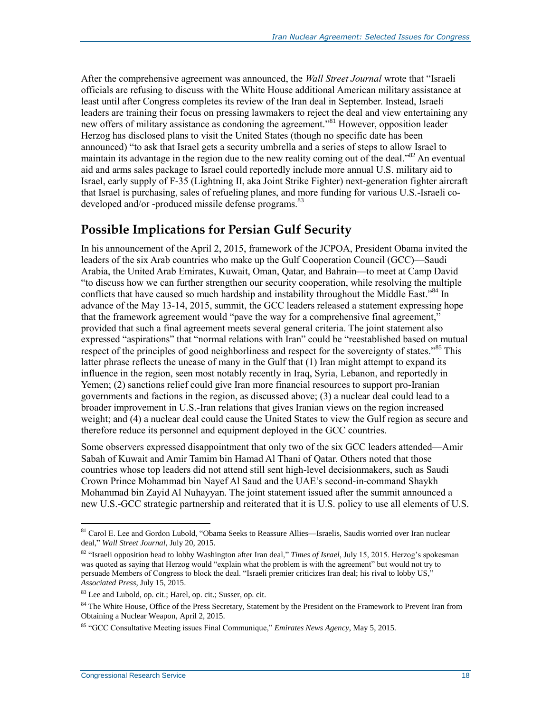After the comprehensive agreement was announced, the *Wall Street Journal* wrote that "Israeli officials are refusing to discuss with the White House additional American military assistance at least until after Congress completes its review of the Iran deal in September. Instead, Israeli leaders are training their focus on pressing lawmakers to reject the deal and view entertaining any new offers of military assistance as condoning the agreement." <sup>81</sup> However, opposition leader Herzog has disclosed plans to visit the United States (though no specific date has been announced) "to ask that Israel gets a security umbrella and a series of steps to allow Israel to maintain its advantage in the region due to the new reality coming out of the deal.<sup>382</sup> An eventual aid and arms sales package to Israel could reportedly include more annual U.S. military aid to Israel, early supply of F-35 (Lightning II, aka Joint Strike Fighter) next-generation fighter aircraft that Israel is purchasing, sales of refueling planes, and more funding for various U.S.-Israeli codeveloped and/or -produced missile defense programs.<sup>83</sup>

### <span id="page-20-0"></span>**Possible Implications for Persian Gulf Security**

In his announcement of the April 2, 2015, framework of the JCPOA, President Obama invited the leaders of the six Arab countries who make up the Gulf Cooperation Council (GCC)—Saudi Arabia, the United Arab Emirates, Kuwait, Oman, Qatar, and Bahrain—to meet at Camp David "to discuss how we can further strengthen our security cooperation, while resolving the multiple conflicts that have caused so much hardship and instability throughout the Middle East."<sup>84</sup> In advance of the May 13-14, 2015, summit, the GCC leaders released a statement expressing hope that the framework agreement would "pave the way for a comprehensive final agreement," provided that such a final agreement meets several general criteria. The joint statement also expressed "aspirations" that "normal relations with Iran" could be "reestablished based on mutual respect of the principles of good neighborliness and respect for the sovereignty of states."<sup>85</sup> This latter phrase reflects the unease of many in the Gulf that (1) Iran might attempt to expand its influence in the region, seen most notably recently in Iraq, Syria, Lebanon, and reportedly in Yemen; (2) sanctions relief could give Iran more financial resources to support pro-Iranian governments and factions in the region, as discussed above; (3) a nuclear deal could lead to a broader improvement in U.S.-Iran relations that gives Iranian views on the region increased weight; and (4) a nuclear deal could cause the United States to view the Gulf region as secure and therefore reduce its personnel and equipment deployed in the GCC countries.

Some observers expressed disappointment that only two of the six GCC leaders attended—Amir Sabah of Kuwait and Amir Tamim bin Hamad Al Thani of Qatar. Others noted that those countries whose top leaders did not attend still sent high-level decisionmakers, such as Saudi Crown Prince Mohammad bin Nayef Al Saud and the UAE's second-in-command Shaykh Mohammad bin Zayid Al Nuhayyan. The joint statement issued after the summit announced a new U.S.-GCC strategic partnership and reiterated that it is U.S. policy to use all elements of U.S.

<sup>81</sup> Carol E. Lee and Gordon Lubold, "Obama Seeks to Reassure Allies—Israelis, Saudis worried over Iran nuclear deal," *Wall Street Journal*, July 20, 2015.

<sup>82</sup> "Israeli opposition head to lobby Washington after Iran deal," *Times of Israel*, July 15, 2015. Herzog's spokesman was quoted as saying that Herzog would "explain what the problem is with the agreement" but would not try to persuade Members of Congress to block the deal. "Israeli premier criticizes Iran deal; his rival to lobby US," *Associated Press*, July 15, 2015.

<sup>83</sup> Lee and Lubold, op. cit.; Harel, op. cit.; Susser, op. cit.

<sup>&</sup>lt;sup>84</sup> The White House, Office of the Press Secretary, Statement by the President on the Framework to Prevent Iran from Obtaining a Nuclear Weapon, April 2, 2015.

<sup>85</sup> "GCC Consultative Meeting issues Final Communique," *Emirates News Agency*, May 5, 2015.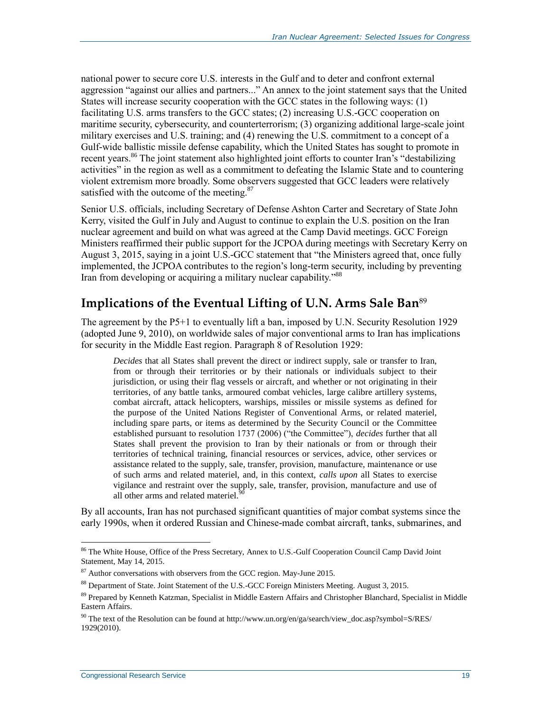national power to secure core U.S. interests in the Gulf and to deter and confront external aggression "against our allies and partners..." An annex to the joint statement says that the United States will increase security cooperation with the GCC states in the following ways: (1) facilitating U.S. arms transfers to the GCC states; (2) increasing U.S.-GCC cooperation on maritime security, cybersecurity, and counterterrorism; (3) organizing additional large-scale joint military exercises and U.S. training; and (4) renewing the U.S. commitment to a concept of a Gulf-wide ballistic missile defense capability, which the United States has sought to promote in recent years.<sup>86</sup> The joint statement also highlighted joint efforts to counter Iran's "destabilizing" activities" in the region as well as a commitment to defeating the Islamic State and to countering violent extremism more broadly. Some observers suggested that GCC leaders were relatively satisfied with the outcome of the meeting.<sup>87</sup>

Senior U.S. officials, including Secretary of Defense Ashton Carter and Secretary of State John Kerry, visited the Gulf in July and August to continue to explain the U.S. position on the Iran nuclear agreement and build on what was agreed at the Camp David meetings. GCC Foreign Ministers reaffirmed their public support for the JCPOA during meetings with Secretary Kerry on August 3, 2015, saying in a joint U.S.-GCC statement that "the Ministers agreed that, once fully implemented, the JCPOA contributes to the region's long-term security, including by preventing Iran from developing or acquiring a military nuclear capability."<sup>88</sup>

### <span id="page-21-0"></span>**Implications of the Eventual Lifting of U.N. Arms Sale Ban**<sup>89</sup>

The agreement by the P5+1 to eventually lift a ban, imposed by U.N. Security Resolution 1929 (adopted June 9, 2010), on worldwide sales of major conventional arms to Iran has implications for security in the Middle East region. Paragraph 8 of Resolution 1929:

*Decides* that all States shall prevent the direct or indirect supply, sale or transfer to Iran, from or through their territories or by their nationals or individuals subject to their jurisdiction, or using their flag vessels or aircraft, and whether or not originating in their territories, of any battle tanks, armoured combat vehicles, large calibre artillery systems, combat aircraft, attack helicopters, warships, missiles or missile systems as defined for the purpose of the United Nations Register of Conventional Arms, or related materiel, including spare parts, or items as determined by the Security Council or the Committee established pursuant to resolution 1737 (2006) ("the Committee"), *decides* further that all States shall prevent the provision to Iran by their nationals or from or through their territories of technical training, financial resources or services, advice, other services or assistance related to the supply, sale, transfer, provision, manufacture, maintenance or use of such arms and related materiel, and, in this context, *calls upon* all States to exercise vigilance and restraint over the supply, sale, transfer, provision, manufacture and use of all other arms and related materiel.<sup>9</sup>

By all accounts, Iran has not purchased significant quantities of major combat systems since the early 1990s, when it ordered Russian and Chinese-made combat aircraft, tanks, submarines, and

<sup>&</sup>lt;sup>86</sup> The White House, Office of the Press Secretary, Annex to U.S.-Gulf Cooperation Council Camp David Joint Statement, May 14, 2015.

 $87$  Author conversations with observers from the GCC region. May-June 2015.

<sup>88</sup> Department of State. Joint Statement of the U.S.-GCC Foreign Ministers Meeting. August 3, 2015.

<sup>89</sup> Prepared by Kenneth Katzman, Specialist in Middle Eastern Affairs and Christopher Blanchard, Specialist in Middle Eastern Affairs.

<sup>90</sup> The text of the Resolution can be found at http://www.un.org/en/ga/search/view\_doc.asp?symbol=S/RES/ 1929(2010).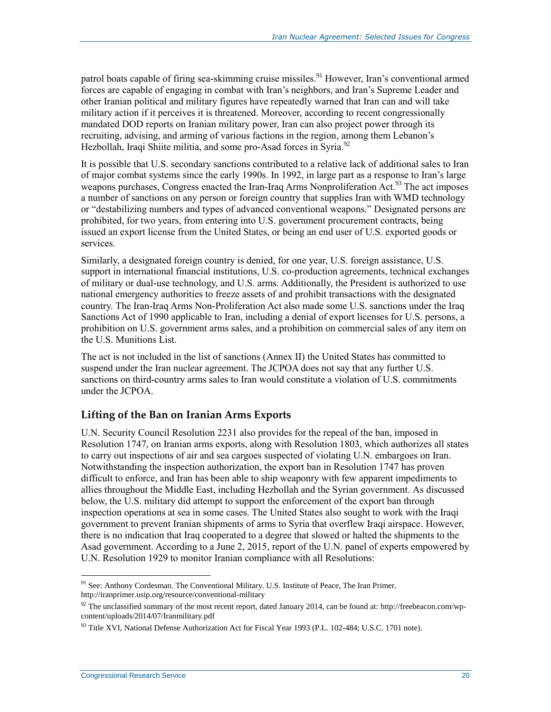patrol boats capable of firing sea-skimming cruise missiles.<sup>91</sup> However, Iran's conventional armed forces are capable of engaging in combat with Iran's neighbors, and Iran's Supreme Leader and other Iranian political and military figures have repeatedly warned that Iran can and will take military action if it perceives it is threatened. Moreover, according to recent congressionally mandated DOD reports on Iranian military power, Iran can also project power through its recruiting, advising, and arming of various factions in the region, among them Lebanon's Hezbollah, Iraqi Shiite militia, and some pro-Asad forces in Syria.<sup>92</sup>

It is possible that U.S. secondary sanctions contributed to a relative lack of additional sales to Iran of major combat systems since the early 1990s. In 1992, in large part as a response to Iran's large weapons purchases, Congress enacted the Iran-Iraq Arms Nonproliferation Act.<sup>93</sup> The act imposes a number of sanctions on any person or foreign country that supplies Iran with WMD technology or "destabilizing numbers and types of advanced conventional weapons." Designated persons are prohibited, for two years, from entering into U.S. government procurement contracts, being issued an export license from the United States, or being an end user of U.S. exported goods or services.

Similarly, a designated foreign country is denied, for one year, U.S. foreign assistance, U.S. support in international financial institutions, U.S. co-production agreements, technical exchanges of military or dual-use technology, and U.S. arms. Additionally, the President is authorized to use national emergency authorities to freeze assets of and prohibit transactions with the designated country. The Iran-Iraq Arms Non-Proliferation Act also made some U.S. sanctions under the Iraq Sanctions Act of 1990 applicable to Iran, including a denial of export licenses for U.S. persons, a prohibition on U.S. government arms sales, and a prohibition on commercial sales of any item on the U.S. Munitions List.

The act is not included in the list of sanctions (Annex II) the United States has committed to suspend under the Iran nuclear agreement. The JCPOA does not say that any further U.S. sanctions on third-country arms sales to Iran would constitute a violation of U.S. commitments under the JCPOA.

#### <span id="page-22-0"></span>**Lifting of the Ban on Iranian Arms Exports**

U.N. Security Council Resolution 2231 also provides for the repeal of the ban, imposed in Resolution 1747, on Iranian arms exports, along with Resolution 1803, which authorizes all states to carry out inspections of air and sea cargoes suspected of violating U.N. embargoes on Iran. Notwithstanding the inspection authorization, the export ban in Resolution 1747 has proven difficult to enforce, and Iran has been able to ship weaponry with few apparent impediments to allies throughout the Middle East, including Hezbollah and the Syrian government. As discussed below, the U.S. military did attempt to support the enforcement of the export ban through inspection operations at sea in some cases. The United States also sought to work with the Iraqi government to prevent Iranian shipments of arms to Syria that overflew Iraqi airspace. However, there is no indication that Iraq cooperated to a degree that slowed or halted the shipments to the Asad government. According to a June 2, 2015, report of the U.N. panel of experts empowered by U.N. Resolution 1929 to monitor Iranian compliance with all Resolutions:

 $\overline{a}$ <sup>91</sup> See: Anthony Cordesman. The Conventional Military. U.S. Institute of Peace, The Iran Primer. http://iranprimer.usip.org/resource/conventional-military

 $92$  The unclassified summary of the most recent report, dated January 2014, can be found at: http://freebeacon.com/wpcontent/uploads/2014/07/Iranmilitary.pdf

<sup>&</sup>lt;sup>93</sup> Title XVI, National Defense Authorization Act for Fiscal Year 1993 (P.L. 102-484; U.S.C. 1701 note).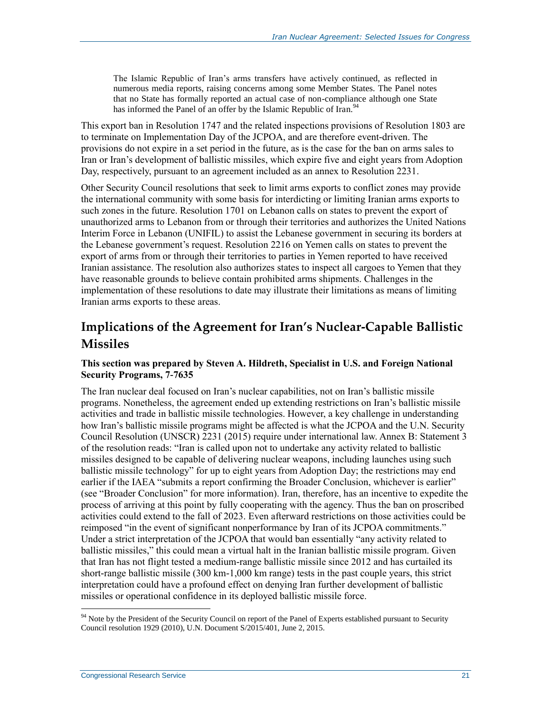The Islamic Republic of Iran's arms transfers have actively continued, as reflected in numerous media reports, raising concerns among some Member States. The Panel notes that no State has formally reported an actual case of non-compliance although one State has informed the Panel of an offer by the Islamic Republic of Iran.<sup>94</sup>

This export ban in Resolution 1747 and the related inspections provisions of Resolution 1803 are to terminate on Implementation Day of the JCPOA, and are therefore event-driven. The provisions do not expire in a set period in the future, as is the case for the ban on arms sales to Iran or Iran's development of ballistic missiles, which expire five and eight years from Adoption Day, respectively, pursuant to an agreement included as an annex to Resolution 2231.

Other Security Council resolutions that seek to limit arms exports to conflict zones may provide the international community with some basis for interdicting or limiting Iranian arms exports to such zones in the future. Resolution 1701 on Lebanon calls on states to prevent the export of unauthorized arms to Lebanon from or through their territories and authorizes the United Nations Interim Force in Lebanon (UNIFIL) to assist the Lebanese government in securing its borders at the Lebanese government's request. Resolution 2216 on Yemen calls on states to prevent the export of arms from or through their territories to parties in Yemen reported to have received Iranian assistance. The resolution also authorizes states to inspect all cargoes to Yemen that they have reasonable grounds to believe contain prohibited arms shipments. Challenges in the implementation of these resolutions to date may illustrate their limitations as means of limiting Iranian arms exports to these areas.

### <span id="page-23-0"></span>**Implications of the Agreement for Iran's Nuclear-Capable Ballistic Missiles**

#### **This section was prepared by Steven A. Hildreth, Specialist in U.S. and Foreign National Security Programs, 7-7635**

The Iran nuclear deal focused on Iran's nuclear capabilities, not on Iran's ballistic missile programs. Nonetheless, the agreement ended up extending restrictions on Iran's ballistic missile activities and trade in ballistic missile technologies. However, a key challenge in understanding how Iran's ballistic missile programs might be affected is what the JCPOA and the U.N. Security Council Resolution (UNSCR) 2231 (2015) require under international law. Annex B: Statement 3 of the resolution reads: "Iran is called upon not to undertake any activity related to ballistic missiles designed to be capable of delivering nuclear weapons, including launches using such ballistic missile technology" for up to eight years from Adoption Day; the restrictions may end earlier if the IAEA "submits a report confirming the Broader Conclusion, whichever is earlier" (see "Broader Conclusion" for more information). Iran, therefore, has an incentive to expedite the process of arriving at this point by fully cooperating with the agency. Thus the ban on proscribed activities could extend to the fall of 2023. Even afterward restrictions on those activities could be reimposed "in the event of significant nonperformance by Iran of its JCPOA commitments." Under a strict interpretation of the JCPOA that would ban essentially "any activity related to ballistic missiles," this could mean a virtual halt in the Iranian ballistic missile program. Given that Iran has not flight tested a medium-range ballistic missile since 2012 and has curtailed its short-range ballistic missile (300 km-1,000 km range) tests in the past couple years, this strict interpretation could have a profound effect on denying Iran further development of ballistic missiles or operational confidence in its deployed ballistic missile force.

<sup>&</sup>lt;sup>94</sup> Note by the President of the Security Council on report of the Panel of Experts established pursuant to Security Council resolution 1929 (2010), U.N. Document S/2015/401, June 2, 2015.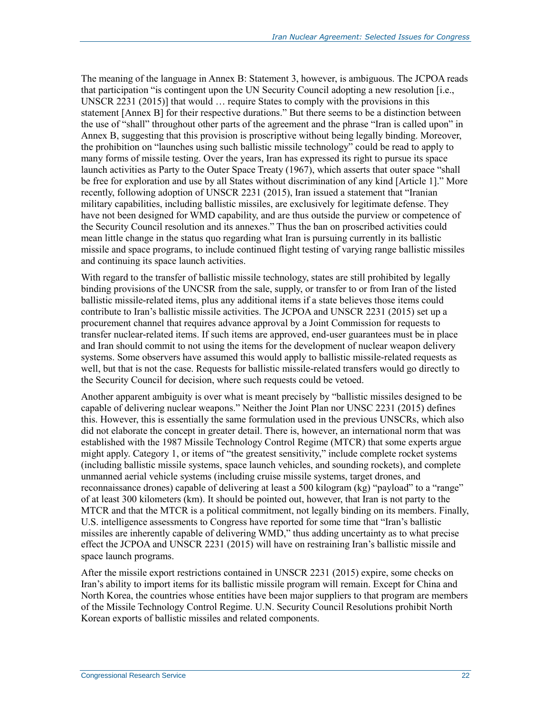The meaning of the language in Annex B: Statement 3, however, is ambiguous. The JCPOA reads that participation "is contingent upon the UN Security Council adopting a new resolution [i.e., UNSCR 2231 (2015)] that would … require States to comply with the provisions in this statement [Annex B] for their respective durations." But there seems to be a distinction between the use of "shall" throughout other parts of the agreement and the phrase "Iran is called upon" in Annex B, suggesting that this provision is proscriptive without being legally binding. Moreover, the prohibition on "launches using such ballistic missile technology" could be read to apply to many forms of missile testing. Over the years, Iran has expressed its right to pursue its space launch activities as Party to the Outer Space Treaty (1967), which asserts that outer space "shall be free for exploration and use by all States without discrimination of any kind [Article 1]." More recently, following adoption of UNSCR 2231 (2015), Iran issued a statement that "Iranian military capabilities, including ballistic missiles, are exclusively for legitimate defense. They have not been designed for WMD capability, and are thus outside the purview or competence of the Security Council resolution and its annexes." Thus the ban on proscribed activities could mean little change in the status quo regarding what Iran is pursuing currently in its ballistic missile and space programs, to include continued flight testing of varying range ballistic missiles and continuing its space launch activities.

With regard to the transfer of ballistic missile technology, states are still prohibited by legally binding provisions of the UNCSR from the sale, supply, or transfer to or from Iran of the listed ballistic missile-related items, plus any additional items if a state believes those items could contribute to Iran's ballistic missile activities. The JCPOA and UNSCR 2231 (2015) set up a procurement channel that requires advance approval by a Joint Commission for requests to transfer nuclear-related items. If such items are approved, end-user guarantees must be in place and Iran should commit to not using the items for the development of nuclear weapon delivery systems. Some observers have assumed this would apply to ballistic missile-related requests as well, but that is not the case. Requests for ballistic missile-related transfers would go directly to the Security Council for decision, where such requests could be vetoed.

Another apparent ambiguity is over what is meant precisely by "ballistic missiles designed to be capable of delivering nuclear weapons." Neither the Joint Plan nor UNSC 2231 (2015) defines this. However, this is essentially the same formulation used in the previous UNSCRs, which also did not elaborate the concept in greater detail. There is, however, an international norm that was established with the 1987 Missile Technology Control Regime (MTCR) that some experts argue might apply. Category 1, or items of "the greatest sensitivity," include complete rocket systems (including ballistic missile systems, space launch vehicles, and sounding rockets), and complete unmanned aerial vehicle systems (including cruise missile systems, target drones, and reconnaissance drones) capable of delivering at least a 500 kilogram (kg) "payload" to a "range" of at least 300 kilometers (km). It should be pointed out, however, that Iran is not party to the MTCR and that the MTCR is a political commitment, not legally binding on its members. Finally, U.S. intelligence assessments to Congress have reported for some time that "Iran's ballistic missiles are inherently capable of delivering WMD," thus adding uncertainty as to what precise effect the JCPOA and UNSCR 2231 (2015) will have on restraining Iran's ballistic missile and space launch programs.

After the missile export restrictions contained in UNSCR 2231 (2015) expire, some checks on Iran's ability to import items for its ballistic missile program will remain. Except for China and North Korea, the countries whose entities have been major suppliers to that program are members of the Missile Technology Control Regime. U.N. Security Council Resolutions prohibit North Korean exports of ballistic missiles and related components.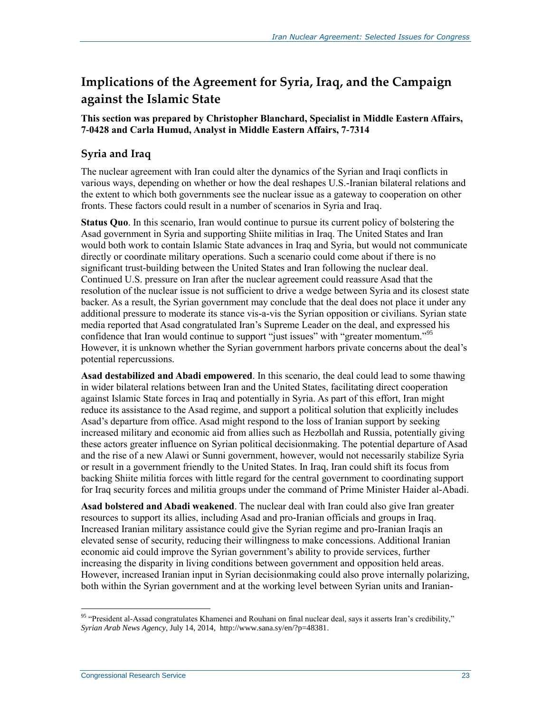### <span id="page-25-0"></span>**Implications of the Agreement for Syria, Iraq, and the Campaign against the Islamic State**

#### **This section was prepared by Christopher Blanchard, Specialist in Middle Eastern Affairs, 7-0428 and Carla Humud, Analyst in Middle Eastern Affairs, 7-7314**

### <span id="page-25-1"></span>**Syria and Iraq**

The nuclear agreement with Iran could alter the dynamics of the Syrian and Iraqi conflicts in various ways, depending on whether or how the deal reshapes U.S.-Iranian bilateral relations and the extent to which both governments see the nuclear issue as a gateway to cooperation on other fronts. These factors could result in a number of scenarios in Syria and Iraq.

**Status Quo**. In this scenario, Iran would continue to pursue its current policy of bolstering the Asad government in Syria and supporting Shiite militias in Iraq. The United States and Iran would both work to contain Islamic State advances in Iraq and Syria, but would not communicate directly or coordinate military operations. Such a scenario could come about if there is no significant trust-building between the United States and Iran following the nuclear deal. Continued U.S. pressure on Iran after the nuclear agreement could reassure Asad that the resolution of the nuclear issue is not sufficient to drive a wedge between Syria and its closest state backer. As a result, the Syrian government may conclude that the deal does not place it under any additional pressure to moderate its stance vis-a-vis the Syrian opposition or civilians. Syrian state media reported that Asad congratulated Iran's Supreme Leader on the deal, and expressed his confidence that Iran would continue to support "just issues" with "greater momentum."<sup>95</sup> However, it is unknown whether the Syrian government harbors private concerns about the deal's potential repercussions.

**Asad destabilized and Abadi empowered**. In this scenario, the deal could lead to some thawing in wider bilateral relations between Iran and the United States, facilitating direct cooperation against Islamic State forces in Iraq and potentially in Syria. As part of this effort, Iran might reduce its assistance to the Asad regime, and support a political solution that explicitly includes Asad's departure from office. Asad might respond to the loss of Iranian support by seeking increased military and economic aid from allies such as Hezbollah and Russia, potentially giving these actors greater influence on Syrian political decisionmaking. The potential departure of Asad and the rise of a new Alawi or Sunni government, however, would not necessarily stabilize Syria or result in a government friendly to the United States. In Iraq, Iran could shift its focus from backing Shiite militia forces with little regard for the central government to coordinating support for Iraq security forces and militia groups under the command of Prime Minister Haider al-Abadi.

**Asad bolstered and Abadi weakened**. The nuclear deal with Iran could also give Iran greater resources to support its allies, including Asad and pro-Iranian officials and groups in Iraq. Increased Iranian military assistance could give the Syrian regime and pro-Iranian Iraqis an elevated sense of security, reducing their willingness to make concessions. Additional Iranian economic aid could improve the Syrian government's ability to provide services, further increasing the disparity in living conditions between government and opposition held areas. However, increased Iranian input in Syrian decisionmaking could also prove internally polarizing, both within the Syrian government and at the working level between Syrian units and Iranian-

 $95$  "President al-Assad congratulates Khamenei and Rouhani on final nuclear deal, says it asserts Iran's credibility," *Syrian Arab News Agency*, July 14, 2014, http://www.sana.sy/en/?p=48381.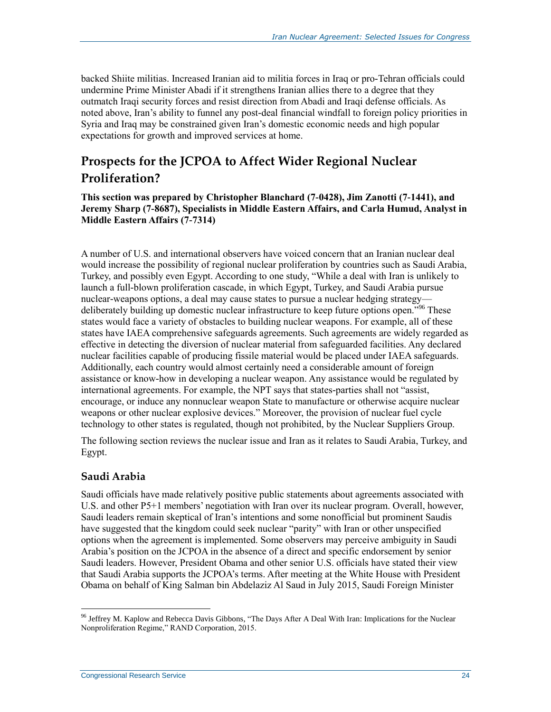backed Shiite militias. Increased Iranian aid to militia forces in Iraq or pro-Tehran officials could undermine Prime Minister Abadi if it strengthens Iranian allies there to a degree that they outmatch Iraqi security forces and resist direction from Abadi and Iraqi defense officials. As noted above, Iran's ability to funnel any post-deal financial windfall to foreign policy priorities in Syria and Iraq may be constrained given Iran's domestic economic needs and high popular expectations for growth and improved services at home.

### <span id="page-26-0"></span>**Prospects for the JCPOA to Affect Wider Regional Nuclear Proliferation?**

**This section was prepared by Christopher Blanchard (7-0428), Jim Zanotti (7-1441), and Jeremy Sharp (7-8687), Specialists in Middle Eastern Affairs, and Carla Humud, Analyst in Middle Eastern Affairs (7-7314)** 

A number of U.S. and international observers have voiced concern that an Iranian nuclear deal would increase the possibility of regional nuclear proliferation by countries such as Saudi Arabia, Turkey, and possibly even Egypt. According to one study, "While a deal with Iran is unlikely to launch a full-blown proliferation cascade, in which Egypt, Turkey, and Saudi Arabia pursue nuclear-weapons options, a deal may cause states to pursue a nuclear hedging strategy deliberately building up domestic nuclear infrastructure to keep future options open."<sup>96</sup> These states would face a variety of obstacles to building nuclear weapons. For example, all of these states have IAEA comprehensive safeguards agreements. Such agreements are widely regarded as effective in detecting the diversion of nuclear material from safeguarded facilities. Any declared nuclear facilities capable of producing fissile material would be placed under IAEA safeguards. Additionally, each country would almost certainly need a considerable amount of foreign assistance or know-how in developing a nuclear weapon. Any assistance would be regulated by international agreements. For example, the NPT says that states-parties shall not "assist, encourage, or induce any nonnuclear weapon State to manufacture or otherwise acquire nuclear weapons or other nuclear explosive devices." Moreover, the provision of nuclear fuel cycle technology to other states is regulated, though not prohibited, by the Nuclear Suppliers Group.

The following section reviews the nuclear issue and Iran as it relates to Saudi Arabia, Turkey, and Egypt.

#### <span id="page-26-1"></span>**Saudi Arabia**

 $\overline{a}$ 

Saudi officials have made relatively positive public statements about agreements associated with U.S. and other P5+1 members' negotiation with Iran over its nuclear program. Overall, however, Saudi leaders remain skeptical of Iran's intentions and some nonofficial but prominent Saudis have suggested that the kingdom could seek nuclear "parity" with Iran or other unspecified options when the agreement is implemented. Some observers may perceive ambiguity in Saudi Arabia's position on the JCPOA in the absence of a direct and specific endorsement by senior Saudi leaders. However, President Obama and other senior U.S. officials have stated their view that Saudi Arabia supports the JCPOA's terms. After meeting at the White House with President Obama on behalf of King Salman bin Abdelaziz Al Saud in July 2015, Saudi Foreign Minister

<sup>&</sup>lt;sup>96</sup> Jeffrey M. Kaplow and Rebecca Davis Gibbons, "The Days After A Deal With Iran: Implications for the Nuclear Nonproliferation Regime," RAND Corporation, 2015.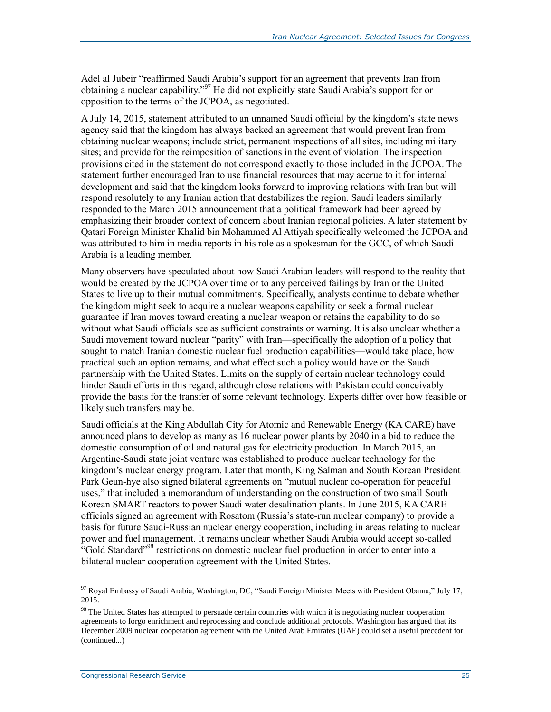Adel al Jubeir "reaffirmed Saudi Arabia's support for an agreement that prevents Iran from obtaining a nuclear capability."<sup>97</sup> He did not explicitly state Saudi Arabia's support for or opposition to the terms of the JCPOA, as negotiated.

A July 14, 2015, statement attributed to an unnamed Saudi official by the kingdom's state news agency said that the kingdom has always backed an agreement that would prevent Iran from obtaining nuclear weapons; include strict, permanent inspections of all sites, including military sites; and provide for the reimposition of sanctions in the event of violation. The inspection provisions cited in the statement do not correspond exactly to those included in the JCPOA. The statement further encouraged Iran to use financial resources that may accrue to it for internal development and said that the kingdom looks forward to improving relations with Iran but will respond resolutely to any Iranian action that destabilizes the region. Saudi leaders similarly responded to the March 2015 announcement that a political framework had been agreed by emphasizing their broader context of concern about Iranian regional policies. A later statement by Qatari Foreign Minister Khalid bin Mohammed Al Attiyah specifically welcomed the JCPOA and was attributed to him in media reports in his role as a spokesman for the GCC, of which Saudi Arabia is a leading member.

Many observers have speculated about how Saudi Arabian leaders will respond to the reality that would be created by the JCPOA over time or to any perceived failings by Iran or the United States to live up to their mutual commitments. Specifically, analysts continue to debate whether the kingdom might seek to acquire a nuclear weapons capability or seek a formal nuclear guarantee if Iran moves toward creating a nuclear weapon or retains the capability to do so without what Saudi officials see as sufficient constraints or warning. It is also unclear whether a Saudi movement toward nuclear "parity" with Iran—specifically the adoption of a policy that sought to match Iranian domestic nuclear fuel production capabilities—would take place, how practical such an option remains, and what effect such a policy would have on the Saudi partnership with the United States. Limits on the supply of certain nuclear technology could hinder Saudi efforts in this regard, although close relations with Pakistan could conceivably provide the basis for the transfer of some relevant technology. Experts differ over how feasible or likely such transfers may be.

Saudi officials at the King Abdullah City for Atomic and Renewable Energy (KA CARE) have announced plans to develop as many as 16 nuclear power plants by 2040 in a bid to reduce the domestic consumption of oil and natural gas for electricity production. In March 2015, an Argentine-Saudi state joint venture was established to produce nuclear technology for the kingdom's nuclear energy program. Later that month, King Salman and South Korean President Park Geun-hye also signed bilateral agreements on "mutual nuclear co-operation for peaceful uses," that included a memorandum of understanding on the construction of two small South Korean SMART reactors to power Saudi water desalination plants. In June 2015, KA CARE officials signed an agreement with Rosatom (Russia's state-run nuclear company) to provide a basis for future Saudi-Russian nuclear energy cooperation, including in areas relating to nuclear power and fuel management. It remains unclear whether Saudi Arabia would accept so-called "Gold Standard"<sup>98</sup> restrictions on domestic nuclear fuel production in order to enter into a bilateral nuclear cooperation agreement with the United States.

<sup>&</sup>lt;sup>97</sup> Royal Embassy of Saudi Arabia, Washington, DC, "Saudi Foreign Minister Meets with President Obama," July 17, 2015.

<sup>&</sup>lt;sup>98</sup> The United States has attempted to persuade certain countries with which it is negotiating nuclear cooperation agreements to forgo enrichment and reprocessing and conclude additional protocols. Washington has argued that its December 2009 nuclear cooperation agreement with the United Arab Emirates (UAE) could set a useful precedent for (continued...)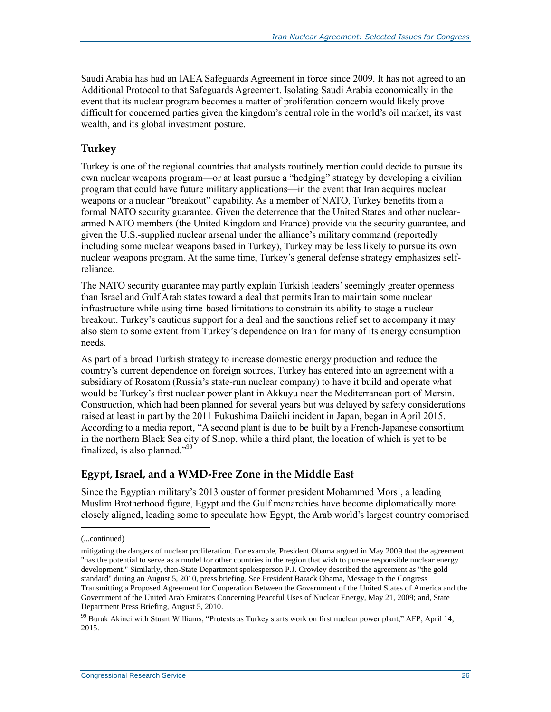Saudi Arabia has had an IAEA Safeguards Agreement in force since 2009. It has not agreed to an Additional Protocol to that Safeguards Agreement. Isolating Saudi Arabia economically in the event that its nuclear program becomes a matter of proliferation concern would likely prove difficult for concerned parties given the kingdom's central role in the world's oil market, its vast wealth, and its global investment posture.

### <span id="page-28-0"></span>**Turkey**

Turkey is one of the regional countries that analysts routinely mention could decide to pursue its own nuclear weapons program—or at least pursue a "hedging" strategy by developing a civilian program that could have future military applications—in the event that Iran acquires nuclear weapons or a nuclear "breakout" capability. As a member of NATO, Turkey benefits from a formal NATO security guarantee. Given the deterrence that the United States and other nucleararmed NATO members (the United Kingdom and France) provide via the security guarantee, and given the U.S.-supplied nuclear arsenal under the alliance's military command (reportedly including some nuclear weapons based in Turkey), Turkey may be less likely to pursue its own nuclear weapons program. At the same time, Turkey's general defense strategy emphasizes selfreliance.

The NATO security guarantee may partly explain Turkish leaders' seemingly greater openness than Israel and Gulf Arab states toward a deal that permits Iran to maintain some nuclear infrastructure while using time-based limitations to constrain its ability to stage a nuclear breakout. Turkey's cautious support for a deal and the sanctions relief set to accompany it may also stem to some extent from Turkey's dependence on Iran for many of its energy consumption needs.

As part of a broad Turkish strategy to increase domestic energy production and reduce the country's current dependence on foreign sources, Turkey has entered into an agreement with a subsidiary of Rosatom (Russia's state-run nuclear company) to have it build and operate what would be Turkey's first nuclear power plant in Akkuyu near the Mediterranean port of Mersin. Construction, which had been planned for several years but was delayed by safety considerations raised at least in part by the 2011 Fukushima Daiichi incident in Japan, began in April 2015. According to a media report, "A second plant is due to be built by a French-Japanese consortium in the northern Black Sea city of Sinop, while a third plant, the location of which is yet to be finalized, is also planned."<sup>99</sup>

### <span id="page-28-1"></span>**Egypt, Israel, and a WMD-Free Zone in the Middle East**

Since the Egyptian military's 2013 ouster of former president Mohammed Morsi, a leading Muslim Brotherhood figure, Egypt and the Gulf monarchies have become diplomatically more closely aligned, leading some to speculate how Egypt, the Arab world's largest country comprised

<sup>(...</sup>continued)

mitigating the dangers of nuclear proliferation. For example, President Obama argued in May 2009 that the agreement "has the potential to serve as a model for other countries in the region that wish to pursue responsible nuclear energy development." Similarly, then-State Department spokesperson P.J. Crowley described the agreement as "the gold standard" during an August 5, 2010, press briefing. See President Barack Obama, Message to the Congress Transmitting a Proposed Agreement for Cooperation Between the Government of the United States of America and the Government of the United Arab Emirates Concerning Peaceful Uses of Nuclear Energy, May 21, 2009; and, State Department Press Briefing, August 5, 2010.

<sup>99</sup> Burak Akinci with Stuart Williams, "Protests as Turkey starts work on first nuclear power plant," AFP, April 14, 2015.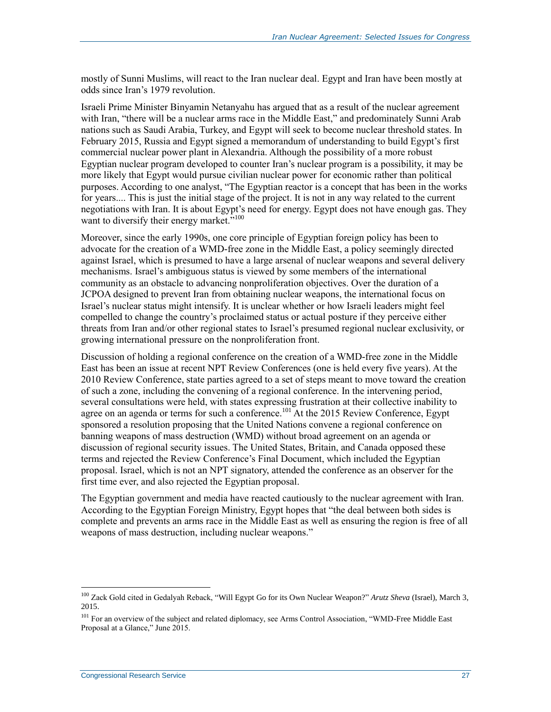mostly of Sunni Muslims, will react to the Iran nuclear deal. Egypt and Iran have been mostly at odds since Iran's 1979 revolution.

Israeli Prime Minister Binyamin Netanyahu has argued that as a result of the nuclear agreement with Iran, "there will be a nuclear arms race in the Middle East," and predominately Sunni Arab nations such as Saudi Arabia, Turkey, and Egypt will seek to become nuclear threshold states. In February 2015, Russia and Egypt signed a memorandum of understanding to build Egypt's first commercial nuclear power plant in Alexandria. Although the possibility of a more robust Egyptian nuclear program developed to counter Iran's nuclear program is a possibility, it may be more likely that Egypt would pursue civilian nuclear power for economic rather than political purposes. According to one analyst, "The Egyptian reactor is a concept that has been in the works for years.... This is just the initial stage of the project. It is not in any way related to the current negotiations with Iran. It is about Egypt's need for energy. Egypt does not have enough gas. They want to diversify their energy market."<sup>100</sup>

Moreover, since the early 1990s, one core principle of Egyptian foreign policy has been to advocate for the creation of a WMD-free zone in the Middle East, a policy seemingly directed against Israel, which is presumed to have a large arsenal of nuclear weapons and several delivery mechanisms. Israel's ambiguous status is viewed by some members of the international community as an obstacle to advancing nonproliferation objectives. Over the duration of a JCPOA designed to prevent Iran from obtaining nuclear weapons, the international focus on Israel's nuclear status might intensify. It is unclear whether or how Israeli leaders might feel compelled to change the country's proclaimed status or actual posture if they perceive either threats from Iran and/or other regional states to Israel's presumed regional nuclear exclusivity, or growing international pressure on the nonproliferation front.

Discussion of holding a regional conference on the creation of a WMD-free zone in the Middle East has been an issue at recent NPT Review Conferences (one is held every five years). At the 2010 Review Conference, state parties agreed to a set of steps meant to move toward the creation of such a zone, including the convening of a regional conference. In the intervening period, several consultations were held, with states expressing frustration at their collective inability to agree on an agenda or terms for such a conference.<sup>101</sup> At the 2015 Review Conference, Egypt sponsored a resolution proposing that the United Nations convene a regional conference on banning weapons of mass destruction (WMD) without broad agreement on an agenda or discussion of regional security issues. The United States, Britain, and Canada opposed these terms and rejected the Review Conference's Final Document, which included the Egyptian proposal. Israel, which is not an NPT signatory, attended the conference as an observer for the first time ever, and also rejected the Egyptian proposal.

The Egyptian government and media have reacted cautiously to the nuclear agreement with Iran. According to the Egyptian Foreign Ministry, Egypt hopes that "the deal between both sides is complete and prevents an arms race in the Middle East as well as ensuring the region is free of all weapons of mass destruction, including nuclear weapons."

<sup>&</sup>lt;sup>100</sup> Zack Gold cited in Gedalyah Reback, "Will Egypt Go for its Own Nuclear Weapon?" Arutz Sheva (Israel), March 3, 2015.

<sup>&</sup>lt;sup>101</sup> For an overview of the subject and related diplomacy, see Arms Control Association, "WMD-Free Middle East Proposal at a Glance," June 2015.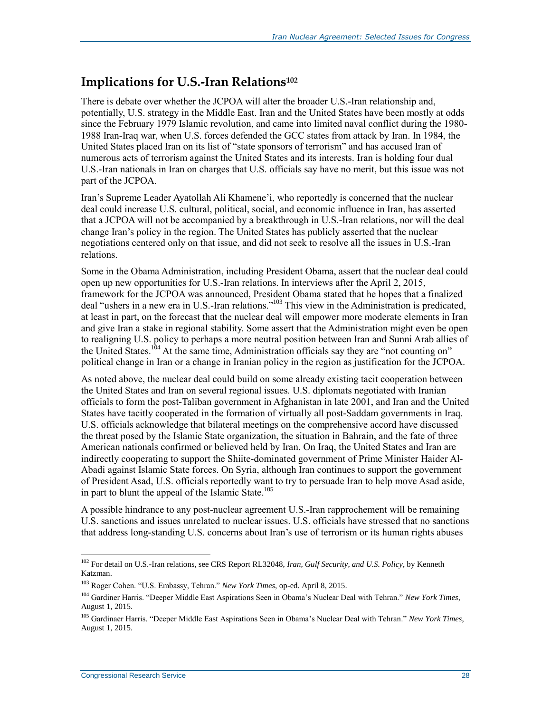### <span id="page-30-0"></span>**Implications for U.S.-Iran Relations<sup>102</sup>**

There is debate over whether the JCPOA will alter the broader U.S.-Iran relationship and, potentially, U.S. strategy in the Middle East. Iran and the United States have been mostly at odds since the February 1979 Islamic revolution, and came into limited naval conflict during the 1980- 1988 Iran-Iraq war, when U.S. forces defended the GCC states from attack by Iran. In 1984, the United States placed Iran on its list of "state sponsors of terrorism" and has accused Iran of numerous acts of terrorism against the United States and its interests. Iran is holding four dual U.S.-Iran nationals in Iran on charges that U.S. officials say have no merit, but this issue was not part of the JCPOA.

Iran's Supreme Leader Ayatollah Ali Khamene'i, who reportedly is concerned that the nuclear deal could increase U.S. cultural, political, social, and economic influence in Iran, has asserted that a JCPOA will not be accompanied by a breakthrough in U.S.-Iran relations, nor will the deal change Iran's policy in the region. The United States has publicly asserted that the nuclear negotiations centered only on that issue, and did not seek to resolve all the issues in U.S.-Iran relations.

Some in the Obama Administration, including President Obama, assert that the nuclear deal could open up new opportunities for U.S.-Iran relations. In interviews after the April 2, 2015, framework for the JCPOA was announced, President Obama stated that he hopes that a finalized deal "ushers in a new era in U.S.-Iran relations."<sup>103</sup> This view in the Administration is predicated, at least in part, on the forecast that the nuclear deal will empower more moderate elements in Iran and give Iran a stake in regional stability. Some assert that the Administration might even be open to realigning U.S. policy to perhaps a more neutral position between Iran and Sunni Arab allies of the United States.<sup>104</sup> At the same time, Administration officials say they are "not counting on" political change in Iran or a change in Iranian policy in the region as justification for the JCPOA.

As noted above, the nuclear deal could build on some already existing tacit cooperation between the United States and Iran on several regional issues. U.S. diplomats negotiated with Iranian officials to form the post-Taliban government in Afghanistan in late 2001, and Iran and the United States have tacitly cooperated in the formation of virtually all post-Saddam governments in Iraq. U.S. officials acknowledge that bilateral meetings on the comprehensive accord have discussed the threat posed by the Islamic State organization, the situation in Bahrain, and the fate of three American nationals confirmed or believed held by Iran. On Iraq, the United States and Iran are indirectly cooperating to support the Shiite-dominated government of Prime Minister Haider Al-Abadi against Islamic State forces. On Syria, although Iran continues to support the government of President Asad, U.S. officials reportedly want to try to persuade Iran to help move Asad aside, in part to blunt the appeal of the Islamic State.<sup>105</sup>

A possible hindrance to any post-nuclear agreement U.S.-Iran rapprochement will be remaining U.S. sanctions and issues unrelated to nuclear issues. U.S. officials have stressed that no sanctions that address long-standing U.S. concerns about Iran's use of terrorism or its human rights abuses

<sup>102</sup> For detail on U.S.-Iran relations, see CRS Report RL32048, *Iran, Gulf Security, and U.S. Policy*, by Kenneth Katzman.

<sup>103</sup> Roger Cohen. "U.S. Embassy, Tehran." *New York Times*, op-ed. April 8, 2015.

<sup>104</sup> Gardiner Harris. "Deeper Middle East Aspirations Seen in Obama's Nuclear Deal with Tehran." *New York Times*, August 1, 2015.

<sup>105</sup> Gardinaer Harris. "Deeper Middle East Aspirations Seen in Obama's Nuclear Deal with Tehran." *New York Times*, August 1, 2015.